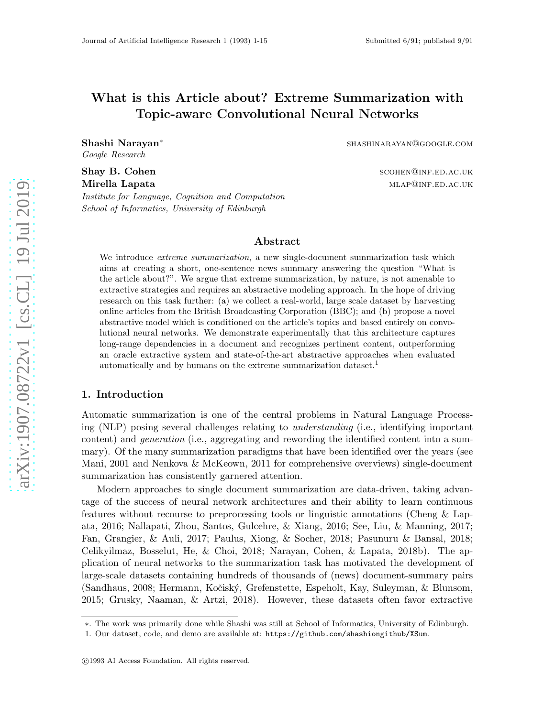# What is this Article about? Extreme Summarization with Topic-aware Convolutional Neural Networks

Shashi Narayan ∗ *Google Research*

Shay B. Cohen scotlands and scotlands are scotlanded as scotlands and scotlands are scotlanded in the scotland Mirella Lapata material members of the contract of the material method of  $\mu$  and  $\mu$  and  $\mu$ *Institute for Language, Cognition and Computation School of Informatics, University of Edinburgh*

shashinarayan@google.com

## Abstract

We introduce *extreme summarization*, a new single-document summarization task which aims at creating a short, one-sentence news summary answering the question "What is the article about?". We argue that extreme summarization, by nature, is not amenable to extractive strategies and requires an abstractive modeling approach. In the hope of driving research on this task further: (a) we collect a real-world, large scale dataset by harvesting online articles from the British Broadcasting Corporation (BBC); and (b) propose a novel abstractive model which is conditioned on the article's topics and based entirely on convolutional neural networks. We demonstrate experimentally that this architecture captures long-range dependencies in a document and recognizes pertinent content, outperforming an oracle extractive system and state-of-the-art abstractive approaches when evaluated automatically and by humans on the extreme summarization dataset.<sup>1</sup>

#### 1. Introduction

Automatic summarization is one of the central problems in Natural Language Processing (NLP) posing several challenges relating to *understanding* (i.e., identifying important content) and *generation* (i.e., aggregating and rewording the identified content into a summary). Of the many summarization paradigms that have been identified over the years (see Mani, 2001 and Nenkova & McKeown, 2011 for comprehensive overviews) single-document summarization has consistently garnered attention.

Modern approaches to single document summarization are data-driven, taking advantage of the success of neural network architectures and their ability to learn continuous features without recourse to preprocessing tools or linguistic annotations (Cheng & Lapata, 2016; Nallapati, Zhou, Santos, Gulcehre, & Xiang, 2016; See, Liu, & Manning, 2017; Fan, Grangier, & Auli, 2017; Paulus, Xiong, & Socher, 2018; Pasunuru & Bansal, 2018; Celikyilmaz, Bosselut, He, & Choi, 2018; Narayan, Cohen, & Lapata, 2018b). The application of neural networks to the summarization task has motivated the development of large-scale datasets containing hundreds of thousands of (news) document-summary pairs (Sandhaus, 2008; Hermann, Koˇcisk´y, Grefenstette, Espeholt, Kay, Suleyman, & Blunsom, 2015; Grusky, Naaman, & Artzi, 2018). However, these datasets often favor extractive

<sup>∗</sup>. The work was primarily done while Shashi was still at School of Informatics, University of Edinburgh.

<sup>1.</sup> Our dataset, code, and demo are available at: https://github.com/shashiongithub/XSum .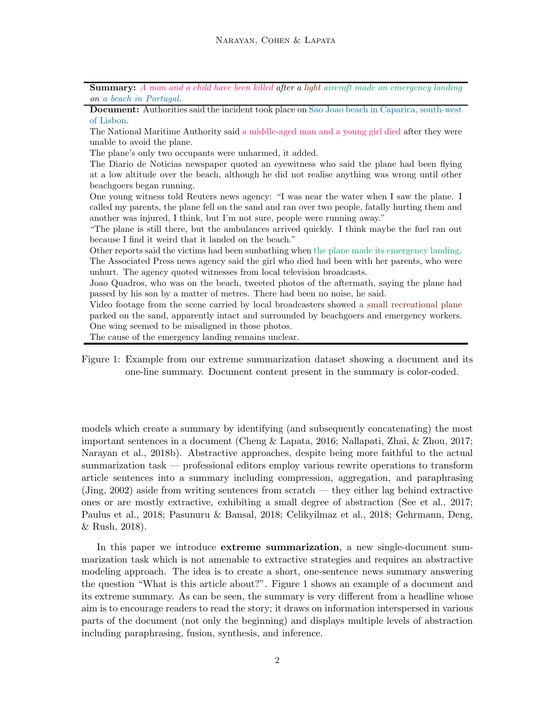Summary: *A man and a child have been killed after a light aircraft made an emergency landing on a beach in Portugal.*

Document: Authorities said the incident took place on Sao Joao beach in Caparica, south-west of Lisbon.

The National Maritime Authority said a middle-aged man and a young girl died after they were unable to avoid the plane.

The plane's only two occupants were unharmed, it added.

The Diario de Noticias newspaper quoted an eyewitness who said the plane had been flying at a low altitude over the beach, although he did not realise anything was wrong until other beachgoers began running.

One young witness told Reuters news agency: "I was near the water when I saw the plane. I called my parents, the plane fell on the sand and ran over two people, fatally hurting them and another was injured, I think, but I'm not sure, people were running away."

"The plane is still there, but the ambulances arrived quickly. I think maybe the fuel ran out because I find it weird that it landed on the beach."

Other reports said the victims had been sunbathing when the plane made its emergency landing. The Associated Press news agency said the girl who died had been with her parents, who were unhurt. The agency quoted witnesses from local television broadcasts.

Joao Quadros, who was on the beach, tweeted photos of the aftermath, saying the plane had passed by his son by a matter of metres. There had been no noise, he said.

Video footage from the scene carried by local broadcasters showed a small recreational plane parked on the sand, apparently intact and surrounded by beachgoers and emergency workers. One wing seemed to be misaligned in those photos.

The cause of the emergency landing remains unclear.

Figure 1: Example from our extreme summarization dataset showing a document and its one-line summary. Document content present in the summary is color-coded.

models which create a summary by identifying (and subsequently concatenating) the most important sentences in a document (Cheng & Lapata, 2016; Nallapati, Zhai, & Zhou, 2017; Narayan et al., 2018b). Abstractive approaches, despite being more faithful to the actual summarization task — professional editors employ various rewrite operations to transform article sentences into a summary including compression, aggregation, and paraphrasing (Jing, 2002) aside from writing sentences from scratch — they either lag behind extractive ones or are mostly extractive, exhibiting a small degree of abstraction (See et al., 2017; Paulus et al., 2018; Pasunuru & Bansal, 2018; Celikyilmaz et al., 2018; Gehrmann, Deng, & Rush, 2018).

In this paper we introduce extreme summarization, a new single-document summarization task which is not amenable to extractive strategies and requires an abstractive modeling approach. The idea is to create a short, one-sentence news summary answering the question "What is this article about?". Figure 1 shows an example of a document and its extreme summary. As can be seen, the summary is very different from a headline whose aim is to encourage readers to read the story; it draws on information interspersed in various parts of the document (not only the beginning) and displays multiple levels of abstraction including paraphrasing, fusion, synthesis, and inference.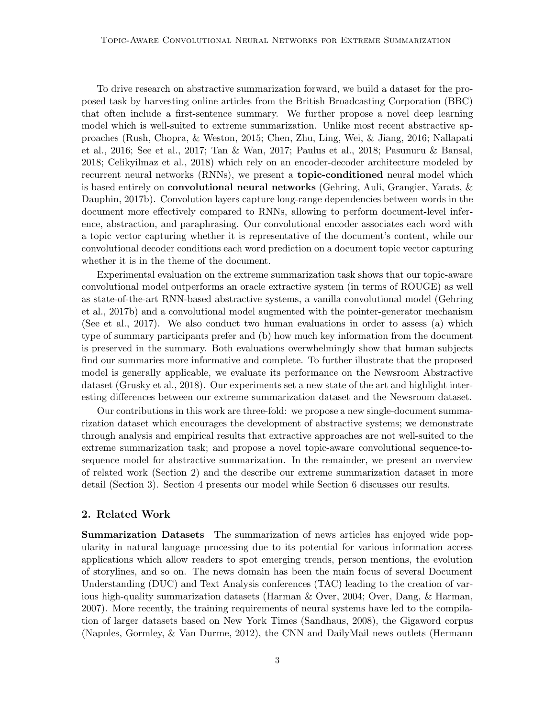To drive research on abstractive summarization forward, we build a dataset for the proposed task by harvesting online articles from the British Broadcasting Corporation (BBC) that often include a first-sentence summary. We further propose a novel deep learning model which is well-suited to extreme summarization. Unlike most recent abstractive approaches (Rush, Chopra, & Weston, 2015; Chen, Zhu, Ling, Wei, & Jiang, 2016; Nallapati et al., 2016; See et al., 2017; Tan & Wan, 2017; Paulus et al., 2018; Pasunuru & Bansal, 2018; Celikyilmaz et al., 2018) which rely on an encoder-decoder architecture modeled by recurrent neural networks (RNNs), we present a **topic-conditioned** neural model which is based entirely on **convolutional neural networks** (Gehring, Auli, Grangier, Yarats,  $\&$ Dauphin, 2017b). Convolution layers capture long-range dependencies between words in the document more effectively compared to RNNs, allowing to perform document-level inference, abstraction, and paraphrasing. Our convolutional encoder associates each word with a topic vector capturing whether it is representative of the document's content, while our convolutional decoder conditions each word prediction on a document topic vector capturing whether it is in the theme of the document.

Experimental evaluation on the extreme summarization task shows that our topic-aware convolutional model outperforms an oracle extractive system (in terms of ROUGE) as well as state-of-the-art RNN-based abstractive systems, a vanilla convolutional model (Gehring et al., 2017b) and a convolutional model augmented with the pointer-generator mechanism (See et al., 2017). We also conduct two human evaluations in order to assess (a) which type of summary participants prefer and (b) how much key information from the document is preserved in the summary. Both evaluations overwhelmingly show that human subjects find our summaries more informative and complete. To further illustrate that the proposed model is generally applicable, we evaluate its performance on the Newsroom Abstractive dataset (Grusky et al., 2018). Our experiments set a new state of the art and highlight interesting differences between our extreme summarization dataset and the Newsroom dataset.

Our contributions in this work are three-fold: we propose a new single-document summarization dataset which encourages the development of abstractive systems; we demonstrate through analysis and empirical results that extractive approaches are not well-suited to the extreme summarization task; and propose a novel topic-aware convolutional sequence-tosequence model for abstractive summarization. In the remainder, we present an overview of related work (Section 2) and the describe our extreme summarization dataset in more detail (Section 3). Section 4 presents our model while Section 6 discusses our results.

#### 2. Related Work

Summarization Datasets The summarization of news articles has enjoyed wide popularity in natural language processing due to its potential for various information access applications which allow readers to spot emerging trends, person mentions, the evolution of storylines, and so on. The news domain has been the main focus of several Document Understanding (DUC) and Text Analysis conferences (TAC) leading to the creation of various high-quality summarization datasets (Harman & Over, 2004; Over, Dang, & Harman, 2007). More recently, the training requirements of neural systems have led to the compilation of larger datasets based on New York Times (Sandhaus, 2008), the Gigaword corpus (Napoles, Gormley, & Van Durme, 2012), the CNN and DailyMail news outlets (Hermann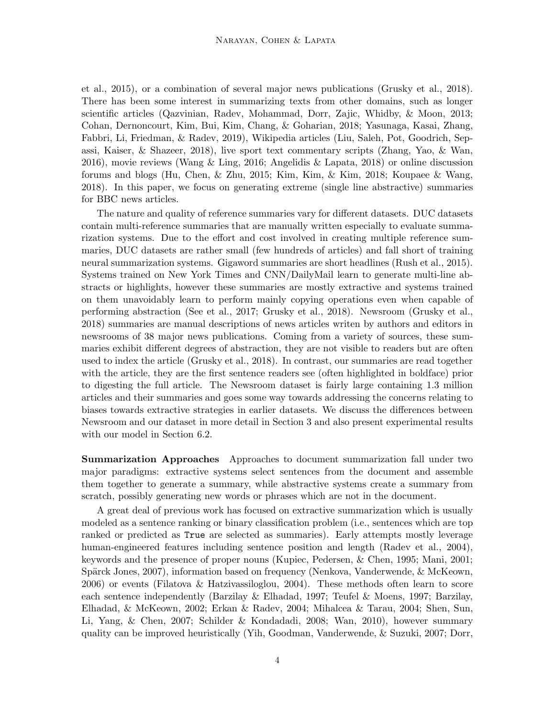et al., 2015), or a combination of several major news publications (Grusky et al., 2018). There has been some interest in summarizing texts from other domains, such as longer scientific articles (Qazvinian, Radev, Mohammad, Dorr, Zajic, Whidby, & Moon, 2013; Cohan, Dernoncourt, Kim, Bui, Kim, Chang, & Goharian, 2018; Yasunaga, Kasai, Zhang, Fabbri, Li, Friedman, & Radev, 2019), Wikipedia articles (Liu, Saleh, Pot, Goodrich, Sepassi, Kaiser, & Shazeer, 2018), live sport text commentary scripts (Zhang, Yao, & Wan, 2016), movie reviews (Wang & Ling, 2016; Angelidis & Lapata, 2018) or online discussion forums and blogs (Hu, Chen, & Zhu, 2015; Kim, Kim, & Kim, 2018; Koupaee & Wang, 2018). In this paper, we focus on generating extreme (single line abstractive) summaries for BBC news articles.

The nature and quality of reference summaries vary for different datasets. DUC datasets contain multi-reference summaries that are manually written especially to evaluate summarization systems. Due to the effort and cost involved in creating multiple reference summaries, DUC datasets are rather small (few hundreds of articles) and fall short of training neural summarization systems. Gigaword summaries are short headlines (Rush et al., 2015). Systems trained on New York Times and CNN/DailyMail learn to generate multi-line abstracts or highlights, however these summaries are mostly extractive and systems trained on them unavoidably learn to perform mainly copying operations even when capable of performing abstraction (See et al., 2017; Grusky et al., 2018). Newsroom (Grusky et al., 2018) summaries are manual descriptions of news articles writen by authors and editors in newsrooms of 38 major news publications. Coming from a variety of sources, these summaries exhibit different degrees of abstraction, they are not visible to readers but are often used to index the article (Grusky et al., 2018). In contrast, our summaries are read together with the article, they are the first sentence readers see (often highlighted in boldface) prior to digesting the full article. The Newsroom dataset is fairly large containing 1.3 million articles and their summaries and goes some way towards addressing the concerns relating to biases towards extractive strategies in earlier datasets. We discuss the differences between Newsroom and our dataset in more detail in Section 3 and also present experimental results with our model in Section 6.2.

Summarization Approaches Approaches to document summarization fall under two major paradigms: extractive systems select sentences from the document and assemble them together to generate a summary, while abstractive systems create a summary from scratch, possibly generating new words or phrases which are not in the document.

A great deal of previous work has focused on extractive summarization which is usually modeled as a sentence ranking or binary classification problem (i.e., sentences which are top ranked or predicted as True are selected as summaries). Early attempts mostly leverage human-engineered features including sentence position and length (Radev et al., 2004), keywords and the presence of proper nouns (Kupiec, Pedersen, & Chen, 1995; Mani, 2001; Spärck Jones, 2007), information based on frequency (Nenkova, Vanderwende, & McKeown, 2006) or events (Filatova & Hatzivassiloglou, 2004). These methods often learn to score each sentence independently (Barzilay & Elhadad, 1997; Teufel & Moens, 1997; Barzilay, Elhadad, & McKeown, 2002; Erkan & Radev, 2004; Mihalcea & Tarau, 2004; Shen, Sun, Li, Yang, & Chen, 2007; Schilder & Kondadadi, 2008; Wan, 2010), however summary quality can be improved heuristically (Yih, Goodman, Vanderwende, & Suzuki, 2007; Dorr,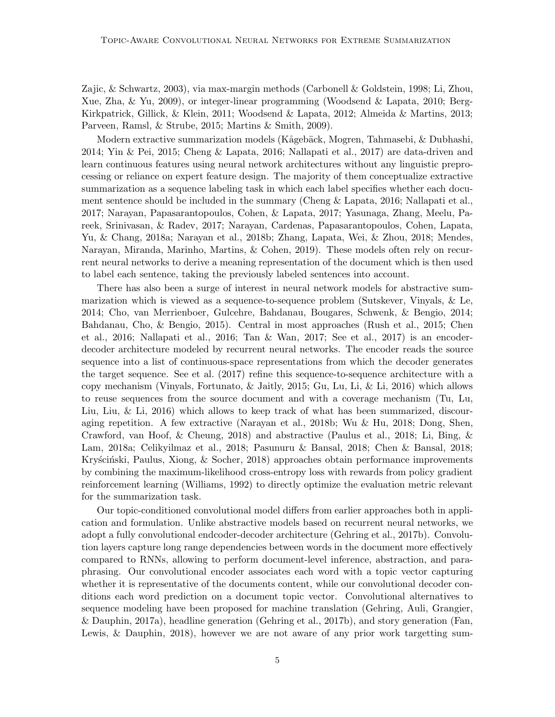Zajic, & Schwartz, 2003), via max-margin methods (Carbonell & Goldstein, 1998; Li, Zhou, Xue, Zha, & Yu, 2009), or integer-linear programming (Woodsend & Lapata, 2010; Berg-Kirkpatrick, Gillick, & Klein, 2011; Woodsend & Lapata, 2012; Almeida & Martins, 2013; Parveen, Ramsl, & Strube, 2015; Martins & Smith, 2009).

Modern extractive summarization models (Kågebäck, Mogren, Tahmasebi, & Dubhashi, 2014; Yin & Pei, 2015; Cheng & Lapata, 2016; Nallapati et al., 2017) are data-driven and learn continuous features using neural network architectures without any linguistic preprocessing or reliance on expert feature design. The majority of them conceptualize extractive summarization as a sequence labeling task in which each label specifies whether each document sentence should be included in the summary (Cheng & Lapata, 2016; Nallapati et al., 2017; Narayan, Papasarantopoulos, Cohen, & Lapata, 2017; Yasunaga, Zhang, Meelu, Pareek, Srinivasan, & Radev, 2017; Narayan, Cardenas, Papasarantopoulos, Cohen, Lapata, Yu, & Chang, 2018a; Narayan et al., 2018b; Zhang, Lapata, Wei, & Zhou, 2018; Mendes, Narayan, Miranda, Marinho, Martins, & Cohen, 2019). These models often rely on recurrent neural networks to derive a meaning representation of the document which is then used to label each sentence, taking the previously labeled sentences into account.

There has also been a surge of interest in neural network models for abstractive summarization which is viewed as a sequence-to-sequence problem (Sutskever, Vinyals, & Le, 2014; Cho, van Merrienboer, Gulcehre, Bahdanau, Bougares, Schwenk, & Bengio, 2014; Bahdanau, Cho, & Bengio, 2015). Central in most approaches (Rush et al., 2015; Chen et al., 2016; Nallapati et al., 2016; Tan & Wan, 2017; See et al., 2017) is an encoderdecoder architecture modeled by recurrent neural networks. The encoder reads the source sequence into a list of continuous-space representations from which the decoder generates the target sequence. See et al. (2017) refine this sequence-to-sequence architecture with a copy mechanism (Vinyals, Fortunato, & Jaitly, 2015; Gu, Lu, Li, & Li, 2016) which allows to reuse sequences from the source document and with a coverage mechanism (Tu, Lu, Liu, Liu, & Li, 2016) which allows to keep track of what has been summarized, discouraging repetition. A few extractive (Narayan et al., 2018b; Wu & Hu, 2018; Dong, Shen, Crawford, van Hoof, & Cheung, 2018) and abstractive (Paulus et al., 2018; Li, Bing, & Lam, 2018a; Celikyilmaz et al., 2018; Pasunuru & Bansal, 2018; Chen & Bansal, 2018; Kryściński, Paulus, Xiong, & Socher, 2018) approaches obtain performance improvements by combining the maximum-likelihood cross-entropy loss with rewards from policy gradient reinforcement learning (Williams, 1992) to directly optimize the evaluation metric relevant for the summarization task.

Our topic-conditioned convolutional model differs from earlier approaches both in application and formulation. Unlike abstractive models based on recurrent neural networks, we adopt a fully convolutional endcoder-decoder architecture (Gehring et al., 2017b). Convolution layers capture long range dependencies between words in the document more effectively compared to RNNs, allowing to perform document-level inference, abstraction, and paraphrasing. Our convolutional encoder associates each word with a topic vector capturing whether it is representative of the documents content, while our convolutional decoder conditions each word prediction on a document topic vector. Convolutional alternatives to sequence modeling have been proposed for machine translation (Gehring, Auli, Grangier, & Dauphin, 2017a), headline generation (Gehring et al., 2017b), and story generation (Fan, Lewis, & Dauphin, 2018), however we are not aware of any prior work targetting sum-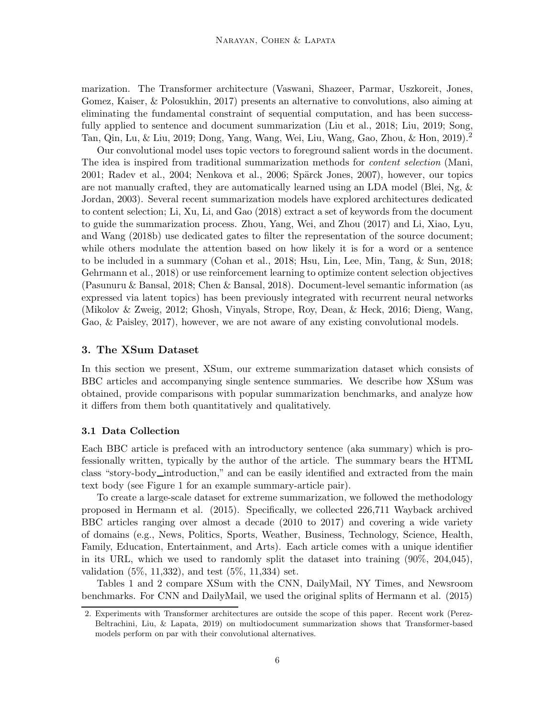marization. The Transformer architecture (Vaswani, Shazeer, Parmar, Uszkoreit, Jones, Gomez, Kaiser, & Polosukhin, 2017) presents an alternative to convolutions, also aiming at eliminating the fundamental constraint of sequential computation, and has been successfully applied to sentence and document summarization (Liu et al., 2018; Liu, 2019; Song, Tan, Qin, Lu, & Liu, 2019; Dong, Yang, Wang, Wei, Liu, Wang, Gao, Zhou, & Hon, 2019).<sup>2</sup>

Our convolutional model uses topic vectors to foreground salient words in the document. The idea is inspired from traditional summarization methods for *content selection* (Mani, 2001; Radev et al., 2004; Nenkova et al., 2006; Spärck Jones, 2007), however, our topics are not manually crafted, they are automatically learned using an LDA model (Blei, Ng,  $\&$ Jordan, 2003). Several recent summarization models have explored architectures dedicated to content selection; Li, Xu, Li, and Gao (2018) extract a set of keywords from the document to guide the summarization process. Zhou, Yang, Wei, and Zhou (2017) and Li, Xiao, Lyu, and Wang (2018b) use dedicated gates to filter the representation of the source document; while others modulate the attention based on how likely it is for a word or a sentence to be included in a summary (Cohan et al., 2018; Hsu, Lin, Lee, Min, Tang, & Sun, 2018; Gehrmann et al., 2018) or use reinforcement learning to optimize content selection objectives (Pasunuru & Bansal, 2018; Chen & Bansal, 2018). Document-level semantic information (as expressed via latent topics) has been previously integrated with recurrent neural networks (Mikolov & Zweig, 2012; Ghosh, Vinyals, Strope, Roy, Dean, & Heck, 2016; Dieng, Wang, Gao, & Paisley, 2017), however, we are not aware of any existing convolutional models.

#### 3. The XSum Dataset

In this section we present, XSum, our extreme summarization dataset which consists of BBC articles and accompanying single sentence summaries. We describe how XSum was obtained, provide comparisons with popular summarization benchmarks, and analyze how it differs from them both quantitatively and qualitatively.

#### 3.1 Data Collection

Each BBC article is prefaced with an introductory sentence (aka summary) which is professionally written, typically by the author of the article. The summary bears the HTML class "story-body introduction," and can be easily identified and extracted from the main text body (see Figure 1 for an example summary-article pair).

To create a large-scale dataset for extreme summarization, we followed the methodology proposed in Hermann et al. (2015). Specifically, we collected 226,711 Wayback archived BBC articles ranging over almost a decade (2010 to 2017) and covering a wide variety of domains (e.g., News, Politics, Sports, Weather, Business, Technology, Science, Health, Family, Education, Entertainment, and Arts). Each article comes with a unique identifier in its URL, which we used to randomly split the dataset into training (90%, 204,045), validation (5%, 11,332), and test (5%, 11,334) set.

Tables 1 and 2 compare XSum with the CNN, DailyMail, NY Times, and Newsroom benchmarks. For CNN and DailyMail, we used the original splits of Hermann et al. (2015)

<sup>2.</sup> Experiments with Transformer architectures are outside the scope of this paper. Recent work (Perez-Beltrachini, Liu, & Lapata, 2019) on multiodocument summarization shows that Transformer-based models perform on par with their convolutional alternatives.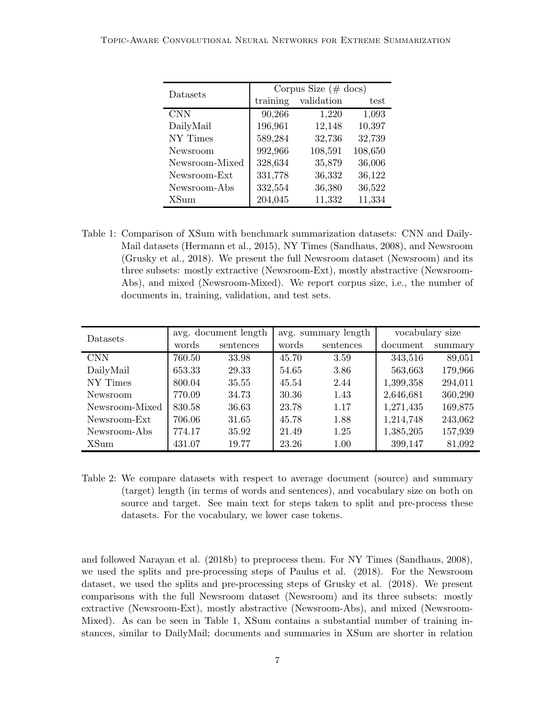#### Topic-Aware Convolutional Neural Networks for Extreme Summarization

| Datasets       | Corpus Size $(\# \text{ docs})$ |            |         |  |  |
|----------------|---------------------------------|------------|---------|--|--|
|                | training                        | validation | test    |  |  |
| <b>CNN</b>     | 90,266                          | 1,220      | 1,093   |  |  |
| DailyMail      | 196,961                         | 12,148     | 10,397  |  |  |
| NY Times       | 589,284                         | 32,736     | 32,739  |  |  |
| Newsroom       | 992,966                         | 108,591    | 108,650 |  |  |
| Newsroom-Mixed | 328,634                         | 35,879     | 36,006  |  |  |
| Newsroom-Ext   | 331,778                         | 36,332     | 36,122  |  |  |
| Newsroom-Abs   | 332,554                         | 36,380     | 36,522  |  |  |
| <b>XSum</b>    | 204,045                         | 11,332     | 11,334  |  |  |

Table 1: Comparison of XSum with benchmark summarization datasets: CNN and Daily-Mail datasets (Hermann et al., 2015), NY Times (Sandhaus, 2008), and Newsroom (Grusky et al., 2018). We present the full Newsroom dataset (Newsroom) and its three subsets: mostly extractive (Newsroom-Ext), mostly abstractive (Newsroom-Abs), and mixed (Newsroom-Mixed). We report corpus size, i.e., the number of documents in, training, validation, and test sets.

| Datasets       |        | avg. document length |       | avg. summary length |           | vocabulary size |  |
|----------------|--------|----------------------|-------|---------------------|-----------|-----------------|--|
|                | words  | sentences            | words | sentences           | document  | summary         |  |
| <b>CNN</b>     | 760.50 | 33.98                | 45.70 | 3.59                | 343,516   | 89,051          |  |
| DailyMail      | 653.33 | 29.33                | 54.65 | 3.86                | 563,663   | 179,966         |  |
| NY Times       | 800.04 | 35.55                | 45.54 | 2.44                | 1,399,358 | 294,011         |  |
| Newsroom       | 770.09 | 34.73                | 30.36 | 1.43                | 2,646,681 | 360,290         |  |
| Newsroom-Mixed | 830.58 | 36.63                | 23.78 | 1.17                | 1,271,435 | 169,875         |  |
| Newsroom-Ext   | 706.06 | 31.65                | 45.78 | 1.88                | 1,214,748 | 243,062         |  |
| Newsroom-Abs   | 774.17 | 35.92                | 21.49 | 1.25                | 1,385,205 | 157,939         |  |
| XSum           | 431.07 | 19.77                | 23.26 | 1.00                | 399,147   | 81,092          |  |

Table 2: We compare datasets with respect to average document (source) and summary (target) length (in terms of words and sentences), and vocabulary size on both on source and target. See main text for steps taken to split and pre-process these datasets. For the vocabulary, we lower case tokens.

and followed Narayan et al. (2018b) to preprocess them. For NY Times (Sandhaus, 2008), we used the splits and pre-processing steps of Paulus et al. (2018). For the Newsroom dataset, we used the splits and pre-processing steps of Grusky et al. (2018). We present comparisons with the full Newsroom dataset (Newsroom) and its three subsets: mostly extractive (Newsroom-Ext), mostly abstractive (Newsroom-Abs), and mixed (Newsroom-Mixed). As can be seen in Table 1, XSum contains a substantial number of training instances, similar to DailyMail; documents and summaries in XSum are shorter in relation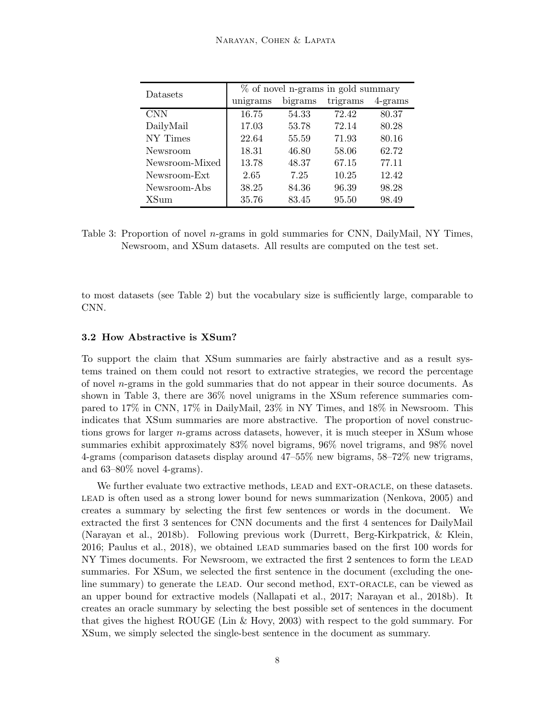| <b>Datasets</b> | % of novel n-grams in gold summary |         |          |            |  |  |
|-----------------|------------------------------------|---------|----------|------------|--|--|
|                 | unigrams                           | bigrams | trigrams | $4$ -grams |  |  |
| <b>CNN</b>      | 16.75                              | 54.33   | 72.42    | 80.37      |  |  |
| DailyMail       | 17.03                              | 53.78   | 72.14    | 80.28      |  |  |
| NY Times        | 22.64                              | 55.59   | 71.93    | 80.16      |  |  |
| Newsroom        | 18.31                              | 46.80   | 58.06    | 62.72      |  |  |
| Newsroom-Mixed  | 13.78                              | 48.37   | 67.15    | 77.11      |  |  |
| Newsroom-Ext    | 2.65                               | 7.25    | 10.25    | 12.42      |  |  |
| Newsroom-Abs    | 38.25                              | 84.36   | 96.39    | 98.28      |  |  |
| XSum            | 35.76                              | 83.45   | 95.50    | 98.49      |  |  |

Table 3: Proportion of novel n-grams in gold summaries for CNN, DailyMail, NY Times, Newsroom, and XSum datasets. All results are computed on the test set.

to most datasets (see Table 2) but the vocabulary size is sufficiently large, comparable to CNN.

#### 3.2 How Abstractive is XSum?

To support the claim that XSum summaries are fairly abstractive and as a result systems trained on them could not resort to extractive strategies, we record the percentage of novel  $n$ -grams in the gold summaries that do not appear in their source documents. As shown in Table 3, there are 36% novel unigrams in the XSum reference summaries compared to 17% in CNN, 17% in DailyMail, 23% in NY Times, and 18% in Newsroom. This indicates that XSum summaries are more abstractive. The proportion of novel constructions grows for larger n-grams across datasets, however, it is much steeper in XSum whose summaries exhibit approximately 83% novel bigrams, 96% novel trigrams, and 98% novel 4-grams (comparison datasets display around 47–55% new bigrams, 58–72% new trigrams, and  $63-80\%$  novel 4-grams).

We further evaluate two extractive methods, LEAD and EXT-ORACLE, on these datasets. lead is often used as a strong lower bound for news summarization (Nenkova, 2005) and creates a summary by selecting the first few sentences or words in the document. We extracted the first 3 sentences for CNN documents and the first 4 sentences for DailyMail (Narayan et al., 2018b). Following previous work (Durrett, Berg-Kirkpatrick, & Klein, 2016; Paulus et al., 2018), we obtained lead summaries based on the first 100 words for NY Times documents. For Newsroom, we extracted the first 2 sentences to form the LEAD summaries. For XSum, we selected the first sentence in the document (excluding the oneline summary) to generate the LEAD. Our second method, EXT-ORACLE, can be viewed as an upper bound for extractive models (Nallapati et al., 2017; Narayan et al., 2018b). It creates an oracle summary by selecting the best possible set of sentences in the document that gives the highest ROUGE (Lin & Hovy, 2003) with respect to the gold summary. For XSum, we simply selected the single-best sentence in the document as summary.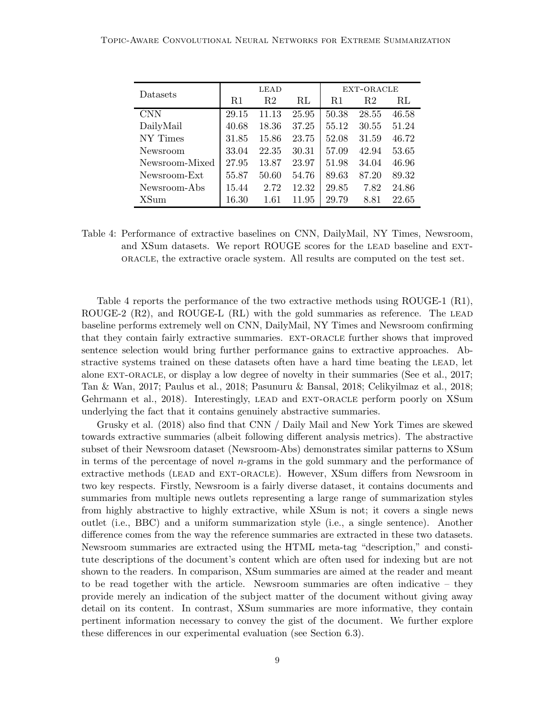| Datasets       | LEAD  |       |       | EXT-ORACLE |                |       |
|----------------|-------|-------|-------|------------|----------------|-------|
|                | R1    | R2    | RL    | R1         | R <sub>2</sub> | RL    |
| <b>CNN</b>     | 29.15 | 11.13 | 25.95 | 50.38      | 28.55          | 46.58 |
| DailyMail      | 40.68 | 18.36 | 37.25 | 55.12      | 30.55          | 51.24 |
| NY Times       | 31.85 | 15.86 | 23.75 | 52.08      | 31.59          | 46.72 |
| Newsroom       | 33.04 | 22.35 | 30.31 | 57.09      | 42.94          | 53.65 |
| Newsroom-Mixed | 27.95 | 13.87 | 23.97 | 51.98      | 34.04          | 46.96 |
| Newsroom-Ext   | 55.87 | 50.60 | 54.76 | 89.63      | 87.20          | 89.32 |
| Newsroom-Abs   | 15.44 | 2.72  | 12.32 | 29.85      | 7.82           | 24.86 |
| XSum           | 16.30 | 1.61  | 11.95 | 29.79      | 8.81           | 22.65 |

Table 4: Performance of extractive baselines on CNN, DailyMail, NY Times, Newsroom, and XSum datasets. We report ROUGE scores for the LEAD baseline and EXToracle, the extractive oracle system. All results are computed on the test set.

Table 4 reports the performance of the two extractive methods using ROUGE-1 (R1), ROUGE-2  $(R2)$ , and ROUGE-L  $(R1)$  with the gold summaries as reference. The LEAD baseline performs extremely well on CNN, DailyMail, NY Times and Newsroom confirming that they contain fairly extractive summaries. ext-oracle further shows that improved sentence selection would bring further performance gains to extractive approaches. Abstractive systems trained on these datasets often have a hard time beating the LEAD, let alone ext-oracle, or display a low degree of novelty in their summaries (See et al., 2017; Tan & Wan, 2017; Paulus et al., 2018; Pasunuru & Bansal, 2018; Celikyilmaz et al., 2018; Gehrmann et al., 2018). Interestingly, LEAD and EXT-ORACLE perform poorly on XSum underlying the fact that it contains genuinely abstractive summaries.

Grusky et al. (2018) also find that CNN / Daily Mail and New York Times are skewed towards extractive summaries (albeit following different analysis metrics). The abstractive subset of their Newsroom dataset (Newsroom-Abs) demonstrates similar patterns to XSum in terms of the percentage of novel n-grams in the gold summary and the performance of extractive methods (LEAD and EXT-ORACLE). However, XSum differs from Newsroom in two key respects. Firstly, Newsroom is a fairly diverse dataset, it contains documents and summaries from multiple news outlets representing a large range of summarization styles from highly abstractive to highly extractive, while XSum is not; it covers a single news outlet (i.e., BBC) and a uniform summarization style (i.e., a single sentence). Another difference comes from the way the reference summaries are extracted in these two datasets. Newsroom summaries are extracted using the HTML meta-tag "description," and constitute descriptions of the document's content which are often used for indexing but are not shown to the readers. In comparison, XSum summaries are aimed at the reader and meant to be read together with the article. Newsroom summaries are often indicative – they provide merely an indication of the subject matter of the document without giving away detail on its content. In contrast, XSum summaries are more informative, they contain pertinent information necessary to convey the gist of the document. We further explore these differences in our experimental evaluation (see Section 6.3).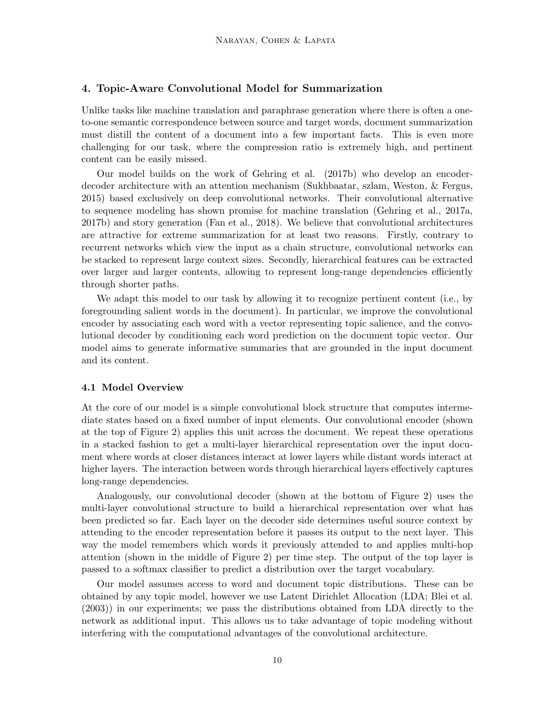#### 4. Topic-Aware Convolutional Model for Summarization

Unlike tasks like machine translation and paraphrase generation where there is often a oneto-one semantic correspondence between source and target words, document summarization must distill the content of a document into a few important facts. This is even more challenging for our task, where the compression ratio is extremely high, and pertinent content can be easily missed.

Our model builds on the work of Gehring et al. (2017b) who develop an encoderdecoder architecture with an attention mechanism (Sukhbaatar, szlam, Weston, & Fergus, 2015) based exclusively on deep convolutional networks. Their convolutional alternative to sequence modeling has shown promise for machine translation (Gehring et al., 2017a, 2017b) and story generation (Fan et al., 2018). We believe that convolutional architectures are attractive for extreme summarization for at least two reasons. Firstly, contrary to recurrent networks which view the input as a chain structure, convolutional networks can be stacked to represent large context sizes. Secondly, hierarchical features can be extracted over larger and larger contents, allowing to represent long-range dependencies efficiently through shorter paths.

We adapt this model to our task by allowing it to recognize pertinent content (i.e., by foregrounding salient words in the document). In particular, we improve the convolutional encoder by associating each word with a vector representing topic salience, and the convolutional decoder by conditioning each word prediction on the document topic vector. Our model aims to generate informative summaries that are grounded in the input document and its content.

#### 4.1 Model Overview

At the core of our model is a simple convolutional block structure that computes intermediate states based on a fixed number of input elements. Our convolutional encoder (shown at the top of Figure 2) applies this unit across the document. We repeat these operations in a stacked fashion to get a multi-layer hierarchical representation over the input document where words at closer distances interact at lower layers while distant words interact at higher layers. The interaction between words through hierarchical layers effectively captures long-range dependencies.

Analogously, our convolutional decoder (shown at the bottom of Figure 2) uses the multi-layer convolutional structure to build a hierarchical representation over what has been predicted so far. Each layer on the decoder side determines useful source context by attending to the encoder representation before it passes its output to the next layer. This way the model remembers which words it previously attended to and applies multi-hop attention (shown in the middle of Figure 2) per time step. The output of the top layer is passed to a softmax classifier to predict a distribution over the target vocabulary.

Our model assumes access to word and document topic distributions. These can be obtained by any topic model, however we use Latent Dirichlet Allocation (LDA; Blei et al. (2003)) in our experiments; we pass the distributions obtained from LDA directly to the network as additional input. This allows us to take advantage of topic modeling without interfering with the computational advantages of the convolutional architecture.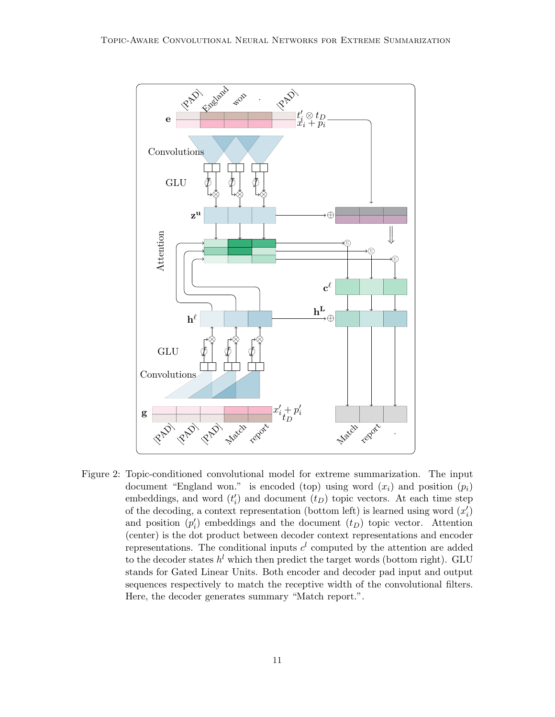

Figure 2: Topic-conditioned convolutional model for extreme summarization. The input document "England won." is encoded (top) using word  $(x_i)$  and position  $(p_i)$ embeddings, and word  $(t'_{i})$  and document  $(t_{D})$  topic vectors. At each time step of the decoding, a context representation (bottom left) is learned using word  $(x'_i)$ and position  $(p'_i)$  embeddings and the document  $(t_D)$  topic vector. Attention (center) is the dot product between decoder context representations and encoder representations. The conditional inputs  $c<sup>l</sup>$  computed by the attention are added to the decoder states  $h^l$  which then predict the target words (bottom right). GLU stands for Gated Linear Units. Both encoder and decoder pad input and output sequences respectively to match the receptive width of the convolutional filters. Here, the decoder generates summary "Match report.".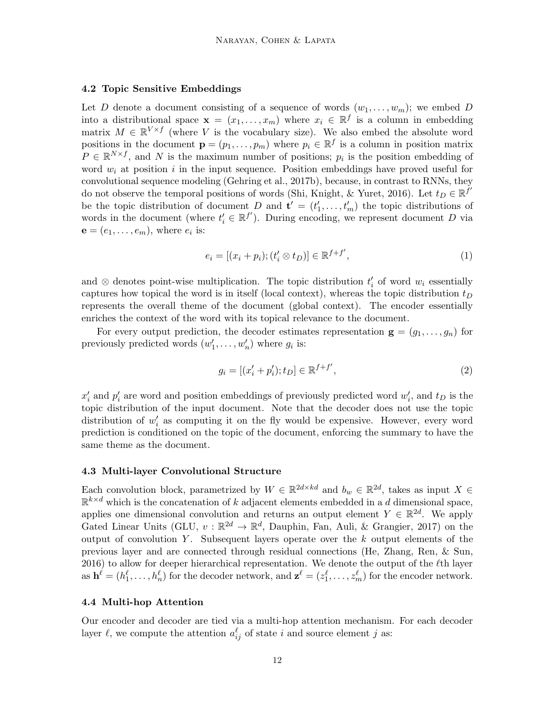#### 4.2 Topic Sensitive Embeddings

Let D denote a document consisting of a sequence of words  $(w_1, \ldots, w_m)$ ; we embed D into a distributional space  $\mathbf{x} = (x_1, \dots, x_m)$  where  $x_i \in \mathbb{R}^f$  is a column in embedding matrix  $M \in \mathbb{R}^{V \times f}$  (where V is the vocabulary size). We also embed the absolute word positions in the document  $\mathbf{p} = (p_1, \ldots, p_m)$  where  $p_i \in \mathbb{R}^f$  is a column in position matrix  $P \in \mathbb{R}^{N \times f}$ , and N is the maximum number of positions;  $p_i$  is the position embedding of word  $w_i$  at position i in the input sequence. Position embeddings have proved useful for convolutional sequence modeling (Gehring et al., 2017b), because, in contrast to RNNs, they do not observe the temporal positions of words (Shi, Knight, & Yuret, 2016). Let  $t_D \in \mathbb{R}^{f'}$ be the topic distribution of document D and  $\mathbf{t}' = (t'_1, \ldots, t'_m)$  the topic distributions of words in the document (where  $t'_{i} \in \mathbb{R}^{f'}$ ). During encoding, we represent document D via  $\mathbf{e} = (e_1, \dots, e_m)$ , where  $e_i$  is:

$$
e_i = [(x_i + p_i); (t'_i \otimes t_D)] \in \mathbb{R}^{f+f'},
$$
\n(1)

and  $\otimes$  denotes point-wise multiplication. The topic distribution  $t_i'$  of word  $w_i$  essentially captures how topical the word is in itself (local context), whereas the topic distribution  $t_D$ represents the overall theme of the document (global context). The encoder essentially enriches the context of the word with its topical relevance to the document.

For every output prediction, the decoder estimates representation  $g = (g_1, \ldots, g_n)$  for previously predicted words  $(w'_1, \ldots, w'_n)$  where  $g_i$  is:

$$
g_i = [(x_i' + p_i'); t_D] \in \mathbb{R}^{f+f'},
$$
\n(2)

 $x'_i$  and  $p'_i$  are word and position embeddings of previously predicted word  $w'_i$ , and  $t_D$  is the topic distribution of the input document. Note that the decoder does not use the topic distribution of  $w_i'$  as computing it on the fly would be expensive. However, every word prediction is conditioned on the topic of the document, enforcing the summary to have the same theme as the document.

#### 4.3 Multi-layer Convolutional Structure

Each convolution block, parametrized by  $W \in \mathbb{R}^{2d \times kd}$  and  $b_w \in \mathbb{R}^{2d}$ , takes as input  $X \in$  $\mathbb{R}^{k \times d}$  which is the concatenation of k adjacent elements embedded in a d dimensional space, applies one dimensional convolution and returns an output element  $Y \in \mathbb{R}^{2d}$ . We apply Gated Linear Units (GLU,  $v : \mathbb{R}^{2d} \to \mathbb{R}^d$ , Dauphin, Fan, Auli, & Grangier, 2017) on the output of convolution Y. Subsequent layers operate over the  $k$  output elements of the previous layer and are connected through residual connections (He, Zhang, Ren, & Sun, 2016) to allow for deeper hierarchical representation. We denote the output of the  $\ell$ th layer as  $\mathbf{h}^{\ell} = (h_1^{\ell}, \ldots, h_n^{\ell})$  for the decoder network, and  $\mathbf{z}^{\ell} = (z_1^{\ell}, \ldots, z_m^{\ell})$  for the encoder network.

#### 4.4 Multi-hop Attention

Our encoder and decoder are tied via a multi-hop attention mechanism. For each decoder layer  $\ell$ , we compute the attention  $a_{ij}^{\ell}$  of state i and source element j as: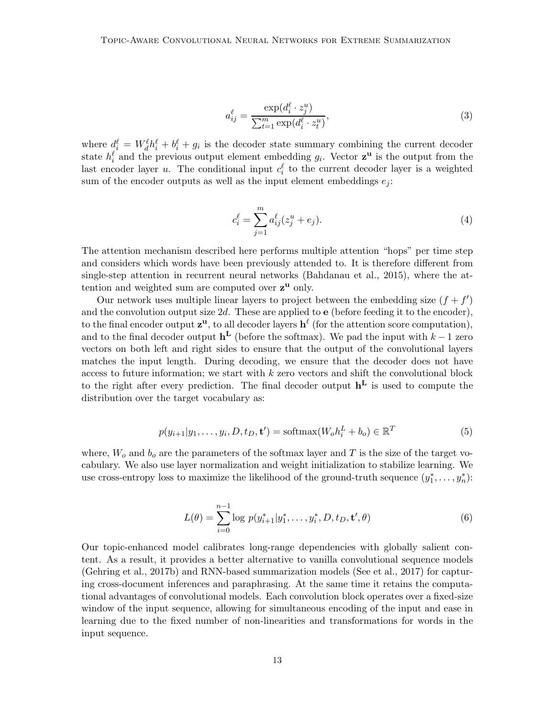$$
a_{ij}^{\ell} = \frac{\exp(d_i^{\ell} \cdot z_j^u)}{\sum_{t=1}^m \exp(d_i^{\ell} \cdot z_t^u)},
$$
\n(3)

where  $d_i^{\ell} = W_d^{\ell} h_i^{\ell} + b_i^{\ell} + g_i$  is the decoder state summary combining the current decoder state  $h_i^{\ell}$  and the previous output element embedding  $g_i$ . Vector  $z^{\mathbf{u}}$  is the output from the last encoder layer u. The conditional input  $c_i^{\ell}$  to the current decoder layer is a weighted sum of the encoder outputs as well as the input element embeddings  $e_j$ :

$$
c_i^{\ell} = \sum_{j=1}^{m} a_{ij}^{\ell} (z_j^u + e_j).
$$
 (4)

The attention mechanism described here performs multiple attention "hops" per time step and considers which words have been previously attended to. It is therefore different from single-step attention in recurrent neural networks (Bahdanau et al., 2015), where the attention and weighted sum are computed over  $z<sup>u</sup>$  only.

Our network uses multiple linear layers to project between the embedding size  $(f + f')$ and the convolution output size  $2d$ . These are applied to **e** (before feeding it to the encoder), to the final encoder output  $z^u$ , to all decoder layers  $h^{\ell}$  (for the attention score computation), and to the final decoder output  $h^L$  (before the softmax). We pad the input with  $k-1$  zero vectors on both left and right sides to ensure that the output of the convolutional layers matches the input length. During decoding, we ensure that the decoder does not have access to future information; we start with  $k$  zero vectors and shift the convolutional block to the right after every prediction. The final decoder output  $\mathbf{h}^{\mathbf{L}}$  is used to compute the distribution over the target vocabulary as:

$$
p(y_{i+1}|y_1,\ldots,y_i,D,t_D,\mathbf{t}') = \text{softmax}(W_o h_i^L + b_o) \in \mathbb{R}^T
$$
\n
$$
(5)
$$

where,  $W_o$  and  $b_o$  are the parameters of the softmax layer and T is the size of the target vocabulary. We also use layer normalization and weight initialization to stabilize learning. We use cross-entropy loss to maximize the likelihood of the ground-truth sequence  $(y_1^*, \ldots, y_n^*)$ :

$$
L(\theta) = \sum_{i=0}^{n-1} \log p(y_{i+1}^* | y_1^*, \dots, y_i^*, D, t_D, \mathbf{t}', \theta)
$$
\n(6)

Our topic-enhanced model calibrates long-range dependencies with globally salient content. As a result, it provides a better alternative to vanilla convolutional sequence models (Gehring et al., 2017b) and RNN-based summarization models (See et al., 2017) for capturing cross-document inferences and paraphrasing. At the same time it retains the computational advantages of convolutional models. Each convolution block operates over a fixed-size window of the input sequence, allowing for simultaneous encoding of the input and ease in learning due to the fixed number of non-linearities and transformations for words in the input sequence.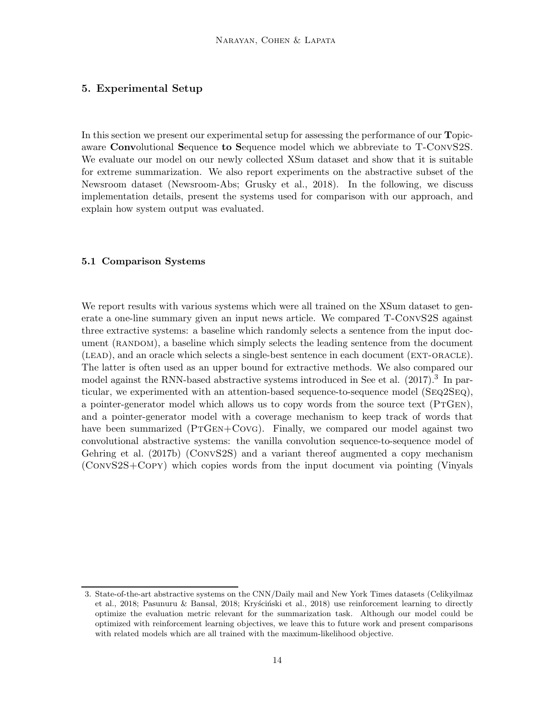## 5. Experimental Setup

In this section we present our experimental setup for assessing the performance of our **T**opicaware Convolutional Sequence to Sequence model which we abbreviate to T-ConvS2S. We evaluate our model on our newly collected XSum dataset and show that it is suitable for extreme summarization. We also report experiments on the abstractive subset of the Newsroom dataset (Newsroom-Abs; Grusky et al., 2018). In the following, we discuss implementation details, present the systems used for comparison with our approach, and explain how system output was evaluated.

#### 5.1 Comparison Systems

We report results with various systems which were all trained on the XSum dataset to generate a one-line summary given an input news article. We compared T-ConvS2S against three extractive systems: a baseline which randomly selects a sentence from the input document (RANDOM), a baseline which simply selects the leading sentence from the document (lead), and an oracle which selects a single-best sentence in each document (ext-oracle). The latter is often used as an upper bound for extractive methods. We also compared our model against the RNN-based abstractive systems introduced in See et al. (2017).<sup>3</sup> In particular, we experimented with an attention-based sequence-to-sequence model (Seq2Seq), a pointer-generator model which allows us to copy words from the source text (PTGEN), and a pointer-generator model with a coverage mechanism to keep track of words that have been summarized (PTGEN+CovG). Finally, we compared our model against two convolutional abstractive systems: the vanilla convolution sequence-to-sequence model of Gehring et al. (2017b) (ConvS2S) and a variant thereof augmented a copy mechanism (ConvS2S+Copy) which copies words from the input document via pointing (Vinyals

<sup>3.</sup> State-of-the-art abstractive systems on the CNN/Daily mail and New York Times datasets (Celikyilmaz et al., 2018; Pasunuru & Bansal, 2018; Krys´cinski et al., 2018) use reinforcement learning to directly optimize the evaluation metric relevant for the summarization task. Although our model could be optimized with reinforcement learning objectives, we leave this to future work and present comparisons with related models which are all trained with the maximum-likelihood objective.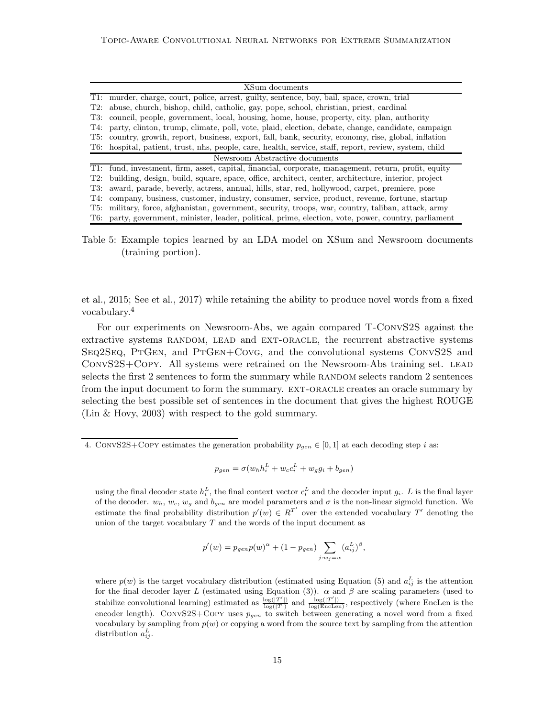|     | XSum documents                                                                                       |  |  |  |  |
|-----|------------------------------------------------------------------------------------------------------|--|--|--|--|
|     | T1: murder, charge, court, police, arrest, guilty, sentence, boy, bail, space, crown, trial          |  |  |  |  |
| T2: | abuse, church, bishop, child, catholic, gay, pope, school, christian, priest, cardinal               |  |  |  |  |
| T3: | council, people, government, local, housing, home, house, property, city, plan, authority            |  |  |  |  |
| T4: | party, clinton, trump, climate, poll, vote, plaid, election, debate, change, candidate, campaign     |  |  |  |  |
| T5: | country, growth, report, business, export, fall, bank, security, economy, rise, global, inflation    |  |  |  |  |
| T6: | hospital, patient, trust, nhs, people, care, health, service, staff, report, review, system, child   |  |  |  |  |
|     |                                                                                                      |  |  |  |  |
|     | Newsroom Abstractive documents                                                                       |  |  |  |  |
|     | T1: fund, investment, firm, asset, capital, financial, corporate, management, return, profit, equity |  |  |  |  |
| T2: | building, design, build, square, space, office, architect, center, architecture, interior, project   |  |  |  |  |
| T3: | award, parade, beverly, actress, annual, hills, star, red, hollywood, carpet, premiere, pose         |  |  |  |  |
| T4: | company, business, customer, industry, consumer, service, product, revenue, fortune, startup         |  |  |  |  |
| T5: | military, force, afghanistan, government, security, troops, war, country, taliban, attack, army      |  |  |  |  |

Table 5: Example topics learned by an LDA model on XSum and Newsroom documents (training portion).

et al., 2015; See et al., 2017) while retaining the ability to produce novel words from a fixed vocabulary.<sup>4</sup>

For our experiments on Newsroom-Abs, we again compared T-ConvS2S against the extractive systems RANDOM, LEAD and EXT-ORACLE, the recurrent abstractive systems Seq2Seq, PtGen, and PtGen+Covg, and the convolutional systems ConvS2S and CONVS2S+COPY. All systems were retrained on the Newsroom-Abs training set. LEAD selects the first 2 sentences to form the summary while RANDOM selects random 2 sentences from the input document to form the summary. EXT-ORACLE creates an oracle summary by selecting the best possible set of sentences in the document that gives the highest ROUGE (Lin & Hovy, 2003) with respect to the gold summary.

$$
p_{gen} = \sigma(w_h h_i^L + w_c c_i^L + w_g g_i + b_{gen})
$$

using the final decoder state  $h_i^L$ , the final context vector  $c_i^L$  and the decoder input  $g_i$ . L is the final layer of the decoder.  $w_h$ ,  $w_c$ ,  $w_g$  and  $b_{gen}$  are model parameters and  $\sigma$  is the non-linear sigmoid function. We estimate the final probability distribution  $p'(w) \in R^{T'}$  over the extended vocabulary T' denoting the union of the target vocabulary  $T$  and the words of the input document as

$$
p'(w) = p_{gen}p(w)^{\alpha} + (1 - p_{gen}) \sum_{j:w_j=w} (a_{ij}^{L})^{\beta},
$$

where  $p(w)$  is the target vocabulary distribution (estimated using Equation (5) and  $a_{ij}^L$  is the attention for the final decoder layer L (estimated using Equation (3)).  $\alpha$  and  $\beta$  are scaling parameters (used to stabilize convolutional learning) estimated as  $\frac{\log(|T'|)}{\log(|T|)}$  and  $\frac{\log(|T'|)}{\log(\text{Enclen})}$ , respectively (where EncLen is the encoder length). CONVS2S+COPY uses  $p_{gen}$  to switch between generating a novel word from a fixed vocabulary by sampling from  $p(w)$  or copying a word from the source text by sampling from the attention distribution  $a_{ij}^L$ .

<sup>4.</sup> CONVS2S+COPY estimates the generation probability  $p_{gen} \in [0, 1]$  at each decoding step i as: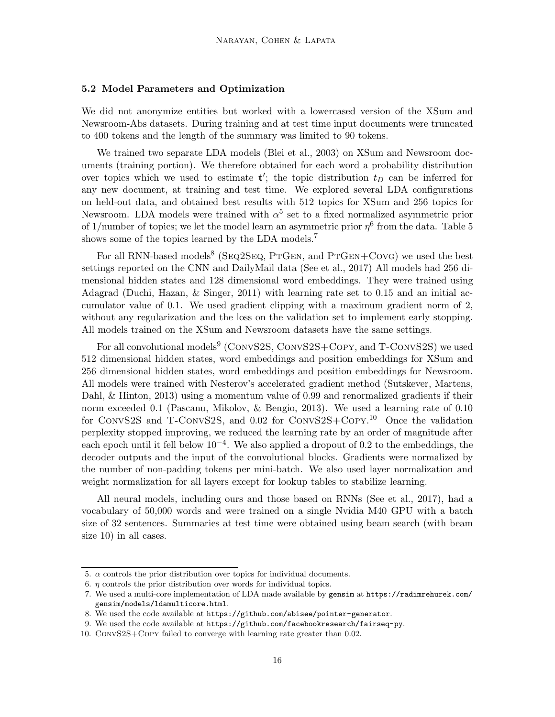#### 5.2 Model Parameters and Optimization

We did not anonymize entities but worked with a lowercased version of the XSum and Newsroom-Abs datasets. During training and at test time input documents were truncated to 400 tokens and the length of the summary was limited to 90 tokens.

We trained two separate LDA models (Blei et al., 2003) on XSum and Newsroom documents (training portion). We therefore obtained for each word a probability distribution over topics which we used to estimate  $t'$ ; the topic distribution  $t_D$  can be inferred for any new document, at training and test time. We explored several LDA configurations on held-out data, and obtained best results with 512 topics for XSum and 256 topics for Newsroom. LDA models were trained with  $\alpha^5$  set to a fixed normalized asymmetric prior of 1/number of topics; we let the model learn an asymmetric prior  $\eta^6$  from the data. Table 5 shows some of the topics learned by the LDA models.<sup>7</sup>

For all RNN-based models<sup>8</sup> (SEQ2SEQ, PTGEN, and PTGEN+CovG) we used the best settings reported on the CNN and DailyMail data (See et al., 2017) All models had 256 dimensional hidden states and 128 dimensional word embeddings. They were trained using Adagrad (Duchi, Hazan, & Singer, 2011) with learning rate set to 0.15 and an initial accumulator value of 0.1. We used gradient clipping with a maximum gradient norm of 2, without any regularization and the loss on the validation set to implement early stopping. All models trained on the XSum and Newsroom datasets have the same settings.

For all convolutional models<sup>9</sup> (CONVS2S, CONVS2S+COPY, and T-CONVS2S) we used 512 dimensional hidden states, word embeddings and position embeddings for XSum and 256 dimensional hidden states, word embeddings and position embeddings for Newsroom. All models were trained with Nesterov's accelerated gradient method (Sutskever, Martens, Dahl, & Hinton, 2013) using a momentum value of 0.99 and renormalized gradients if their norm exceeded 0.1 (Pascanu, Mikolov, & Bengio, 2013). We used a learning rate of 0.10 for ConvS2S and T-ConvS2S, and 0.02 for ConvS2S+Copy. <sup>10</sup> Once the validation perplexity stopped improving, we reduced the learning rate by an order of magnitude after each epoch until it fell below  $10^{-4}$ . We also applied a dropout of 0.2 to the embeddings, the decoder outputs and the input of the convolutional blocks. Gradients were normalized by the number of non-padding tokens per mini-batch. We also used layer normalization and weight normalization for all layers except for lookup tables to stabilize learning.

All neural models, including ours and those based on RNNs (See et al., 2017), had a vocabulary of 50,000 words and were trained on a single Nvidia M40 GPU with a batch size of 32 sentences. Summaries at test time were obtained using beam search (with beam size 10) in all cases.

<sup>5.</sup>  $\alpha$  controls the prior distribution over topics for individual documents.

<sup>6.</sup>  $\eta$  controls the prior distribution over words for individual topics.

<sup>7.</sup> We used a multi-core implementation of LDA made available by gensim at https://radimrehurek.com/ gensim/models/ldamulticore.html.

<sup>8.</sup> We used the code available at https://github.com/abisee/pointer-generator.

<sup>9.</sup> We used the code available at https://github.com/facebookresearch/fairseq-py.

<sup>10.</sup> ConvS2S+Copy failed to converge with learning rate greater than 0.02.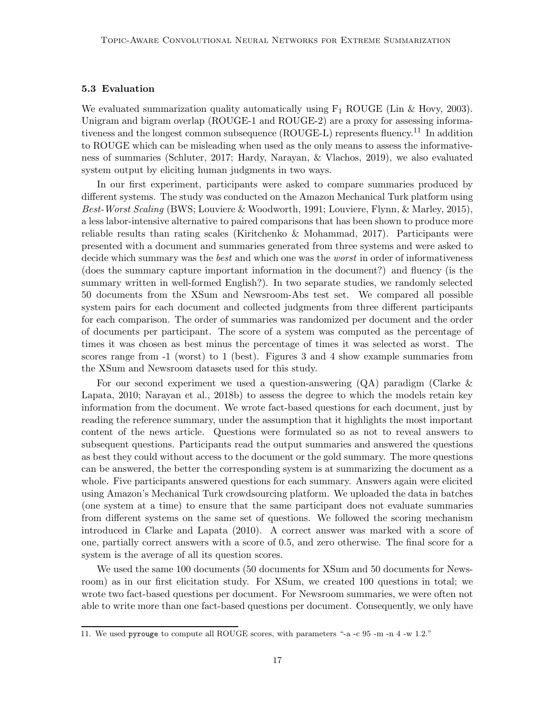## 5.3 Evaluation

We evaluated summarization quality automatically using  $F_1$  ROUGE (Lin & Hovy, 2003). Unigram and bigram overlap (ROUGE-1 and ROUGE-2) are a proxy for assessing informativeness and the longest common subsequence (ROUGE-L) represents fluency.<sup>11</sup> In addition to ROUGE which can be misleading when used as the only means to assess the informativeness of summaries (Schluter, 2017; Hardy, Narayan, & Vlachos, 2019), we also evaluated system output by eliciting human judgments in two ways.

In our first experiment, participants were asked to compare summaries produced by different systems. The study was conducted on the Amazon Mechanical Turk platform using *Best-Worst Scaling* (BWS; Louviere & Woodworth, 1991; Louviere, Flynn, & Marley, 2015), a less labor-intensive alternative to paired comparisons that has been shown to produce more reliable results than rating scales (Kiritchenko & Mohammad, 2017). Participants were presented with a document and summaries generated from three systems and were asked to decide which summary was the *best* and which one was the *worst* in order of informativeness (does the summary capture important information in the document?) and fluency (is the summary written in well-formed English?). In two separate studies, we randomly selected 50 documents from the XSum and Newsroom-Abs test set. We compared all possible system pairs for each document and collected judgments from three different participants for each comparison. The order of summaries was randomized per document and the order of documents per participant. The score of a system was computed as the percentage of times it was chosen as best minus the percentage of times it was selected as worst. The scores range from -1 (worst) to 1 (best). Figures 3 and 4 show example summaries from the XSum and Newsroom datasets used for this study.

For our second experiment we used a question-answering (QA) paradigm (Clarke & Lapata, 2010; Narayan et al., 2018b) to assess the degree to which the models retain key information from the document. We wrote fact-based questions for each document, just by reading the reference summary, under the assumption that it highlights the most important content of the news article. Questions were formulated so as not to reveal answers to subsequent questions. Participants read the output summaries and answered the questions as best they could without access to the document or the gold summary. The more questions can be answered, the better the corresponding system is at summarizing the document as a whole. Five participants answered questions for each summary. Answers again were elicited using Amazon's Mechanical Turk crowdsourcing platform. We uploaded the data in batches (one system at a time) to ensure that the same participant does not evaluate summaries from different systems on the same set of questions. We followed the scoring mechanism introduced in Clarke and Lapata (2010). A correct answer was marked with a score of one, partially correct answers with a score of 0.5, and zero otherwise. The final score for a system is the average of all its question scores.

We used the same 100 documents (50 documents for XSum and 50 documents for Newsroom) as in our first elicitation study. For XSum, we created 100 questions in total; we wrote two fact-based questions per document. For Newsroom summaries, we were often not able to write more than one fact-based questions per document. Consequently, we only have

<sup>11.</sup> We used pyrouge to compute all ROUGE scores, with parameters "-a -c 95 -m -n 4 -w 1.2."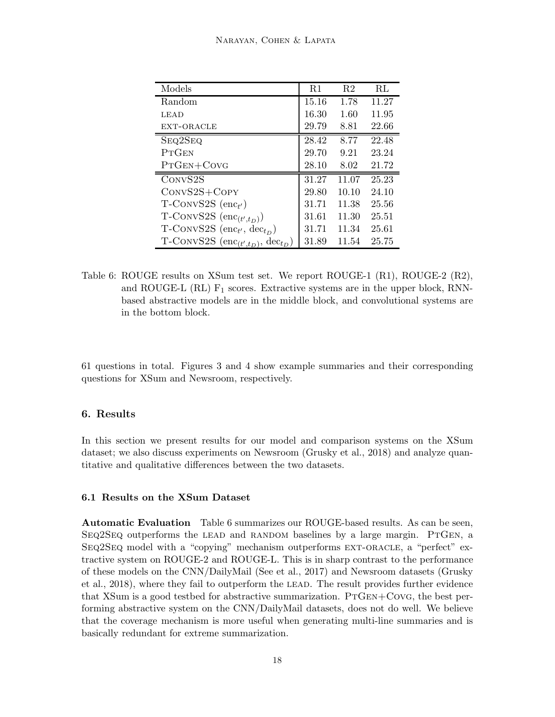| Models                                                     | R1    | R <sub>2</sub> | $\rm RL$ |
|------------------------------------------------------------|-------|----------------|----------|
| Random                                                     | 15.16 | 1.78           | 11.27    |
| LEAD                                                       | 16.30 | 1.60           | 11.95    |
| EXT-ORACLE                                                 | 29.79 | 8.81           | 22.66    |
| SEQ2SEQ                                                    | 28.42 | 8.77           | 22.48    |
| PTGEN                                                      | 29.70 | 9.21           | 23.24    |
| PTGEN+COVG                                                 | 28.10 | 8.02           | 21.72    |
| CONVS2S                                                    | 31.27 | 11.07          | 25.23    |
| $ConvS2S+Copy$                                             | 29.80 | 10.10          | 24.10    |
| $T$ -CONVS2S $(\text{enc}_{t'})$                           | 31.71 | 11.38          | 25.56    |
| T-CONVS2S $(\text{enc}_{(t', t_D)})$                       | 31.61 | 11.30          | 25.51    |
| T-CONVS2S $(\text{enc}_{t'}, \text{dec}_{t_D})$            | 31.71 | 11.34          | 25.61    |
| T-CONVS2S $(\text{enc}_{(t', t_D)},$<br>$\text{dec}_{t_D}$ | 31.89 | 11.54          | 25.75    |

Table 6: ROUGE results on XSum test set. We report ROUGE-1 (R1), ROUGE-2 (R2), and ROUGE-L  $(RL)$   $F_1$  scores. Extractive systems are in the upper block, RNNbased abstractive models are in the middle block, and convolutional systems are in the bottom block.

61 questions in total. Figures 3 and 4 show example summaries and their corresponding questions for XSum and Newsroom, respectively.

## 6. Results

In this section we present results for our model and comparison systems on the XSum dataset; we also discuss experiments on Newsroom (Grusky et al., 2018) and analyze quantitative and qualitative differences between the two datasets.

## 6.1 Results on the XSum Dataset

Automatic Evaluation Table 6 summarizes our ROUGE-based results. As can be seen,  $SeQ2SeQ$  outperforms the LEAD and RANDOM baselines by a large margin. PTGEN, a Seq2Seq model with a "copying" mechanism outperforms ext-oracle, a "perfect" extractive system on ROUGE-2 and ROUGE-L. This is in sharp contrast to the performance of these models on the CNN/DailyMail (See et al., 2017) and Newsroom datasets (Grusky et al., 2018), where they fail to outperform the lead. The result provides further evidence that  $XSum$  is a good testbed for abstractive summarization.  $PTGEN+CovG$ , the best performing abstractive system on the CNN/DailyMail datasets, does not do well. We believe that the coverage mechanism is more useful when generating multi-line summaries and is basically redundant for extreme summarization.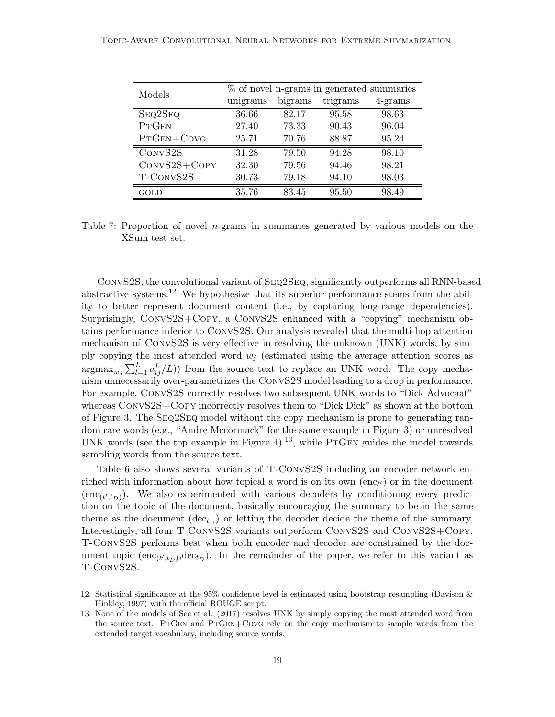| Models              | % of novel n-grams in generated summaries |         |          |         |  |  |
|---------------------|-------------------------------------------|---------|----------|---------|--|--|
|                     | unigrams                                  | bigrams | trigrams | 4-grams |  |  |
| SEQ2SEQ             | 36.66                                     | 82.17   | 95.58    | 98.63   |  |  |
| PTGEN               | 27.40                                     | 73.33   | 90.43    | 96.04   |  |  |
| $PrGEN+CONG$        | 25.71                                     | 70.76   | 88.87    | 95.24   |  |  |
| CONVS <sub>2S</sub> | 31.28                                     | 79.50   | 94.28    | 98.10   |  |  |
| $ConvS2S+Copy$      | 32.30                                     | 79.56   | 94.46    | 98.21   |  |  |
| T-CONVS2S           | 30.73                                     | 79.18   | 94.10    | 98.03   |  |  |
| GOLD                | 35.76                                     | 83.45   | 95.50    | 98.49   |  |  |

Table 7: Proportion of novel  $n$ -grams in summaries generated by various models on the XSum test set.

ConvS2S, the convolutional variant of Seq2Seq, significantly outperforms all RNN-based abstractive systems.<sup>12</sup> We hypothesize that its superior performance stems from the ability to better represent document content (i.e., by capturing long-range dependencies). Surprisingly, ConvS2S+Copy, a ConvS2S enhanced with a "copying" mechanism obtains performance inferior to ConvS2S. Our analysis revealed that the multi-hop attention mechanism of ConvS2S is very effective in resolving the unknown (UNK) words, by simply copying the most attended word  $w_j$  (estimated using the average attention scores as  $\arg \max_{w_j} \sum_{l=1}^{L} a_{ij}^L/L)$  from the source text to replace an UNK word. The copy mechanism unnecessarily over-parametrizes the ConvS2S model leading to a drop in performance. For example, ConvS2S correctly resolves two subsequent UNK words to "Dick Advocaat" whereas ConvS2S+Copy incorrectly resolves them to "Dick Dick" as shown at the bottom of Figure 3. The Seq2Seq model without the copy mechanism is prone to generating random rare words (e.g., "Andre Mccormack" for the same example in Figure 3) or unresolved UNK words (see the top example in Figure 4).<sup>13</sup>, while PTGEN guides the model towards sampling words from the source text.

Table 6 also shows several variants of T-ConvS2S including an encoder network enriched with information about how topical a word is on its own  $(\text{enc}_{t'})$  or in the document  $(enc_{(t',t_D)})$ . We also experimented with various decoders by conditioning every prediction on the topic of the document, basically encouraging the summary to be in the same theme as the document  $(\text{dec}_{t_D})$  or letting the decoder decide the theme of the summary. Interestingly, all four T-ConvS2S variants outperform ConvS2S and ConvS2S+Copy. T-ConvS2S performs best when both encoder and decoder are constrained by the document topic  $(\text{enc}_{(t',t_D)},\text{dec}_{t_D})$ . In the remainder of the paper, we refer to this variant as T-ConvS2S.

<sup>12.</sup> Statistical significance at the 95% confidence level is estimated using bootstrap resampling (Davison & Hinkley, 1997) with the official ROUGE script.

<sup>13.</sup> None of the models of See et al. (2017) resolves UNK by simply copying the most attended word from the source text. PTGEN and PTGEN+COVG rely on the copy mechanism to sample words from the extended target vocabulary, including source words.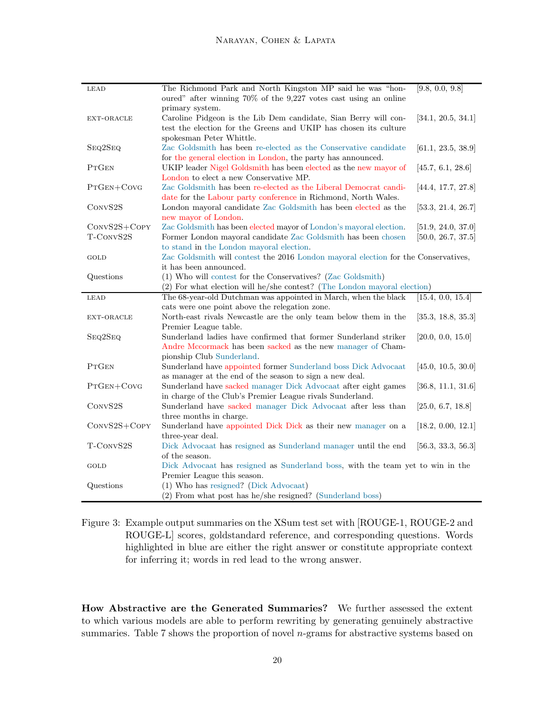| LEAD                        | The Richmond Park and North Kingston MP said he was "hon-<br>oured" after winning 70% of the 9,227 votes cast using an online                                                   | [9.8, 0.0, 9.8]                          |
|-----------------------------|---------------------------------------------------------------------------------------------------------------------------------------------------------------------------------|------------------------------------------|
| EXT-ORACLE                  | primary system.<br>Caroline Pidgeon is the Lib Dem candidate, Sian Berry will con-<br>test the election for the Greens and UKIP has chosen its culture                          | [34.1, 20.5, 34.1]                       |
| SEQ2SEQ                     | spokesman Peter Whittle.<br>Zac Goldsmith has been re-elected as the Conservative candidate<br>for the general election in London, the party has announced.                     | [61.1, 23.5, 38.9]                       |
| PTGEN                       | UKIP leader Nigel Goldsmith has been elected as the new mayor of<br>London to elect a new Conservative MP.                                                                      | [45.7, 6.1, 28.6]                        |
| $PrGEN+CovG$                | Zac Goldsmith has been re-elected as the Liberal Democrat candi-<br>date for the Labour party conference in Richmond, North Wales.                                              | [44.4, 17.7, 27.8]                       |
| CONVS2S                     | London mayoral candidate Zac Goldsmith has been elected as the<br>new mayor of London.                                                                                          | [53.3, 21.4, 26.7]                       |
| $ConvS2S+Copy$<br>T-CONVS2S | Zac Goldsmith has been elected mayor of London's mayoral election.<br>Former London mayoral candidate Zac Goldsmith has been chosen<br>to stand in the London mayoral election. | [51.9, 24.0, 37.0]<br>[50.0, 26.7, 37.5] |
| GOLD                        | Zac Goldsmith will contest the 2016 London mayoral election for the Conservatives,<br>it has been announced.                                                                    |                                          |
| Questions                   | (1) Who will contest for the Conservatives? (Zac Goldsmith)<br>(2) For what election will he/she contest? (The London mayoral election)                                         |                                          |
| LEAD                        | The 68-year-old Dutchman was appointed in March, when the black<br>cats were one point above the relegation zone.                                                               | $[15.\overline{4, 0.0, 15.4}]$           |
| EXT-ORACLE                  | North-east rivals Newcastle are the only team below them in the<br>Premier League table.                                                                                        | [35.3, 18.8, 35.3]                       |
| SEQ2SEQ                     | Sunderland ladies have confirmed that former Sunderland striker<br>Andre Mccormack has been sacked as the new manager of Cham-                                                  | [20.0, 0.0, 15.0]                        |
| <b>PTGEN</b>                | pionship Club Sunderland.<br>Sunderland have appointed former Sunderland boss Dick Advocaat<br>as manager at the end of the season to sign a new deal.                          | [45.0, 10.5, 30.0]                       |
| $PrGEN+CovG$                | Sunderland have sacked manager Dick Advocaat after eight games<br>in charge of the Club's Premier League rivals Sunderland.                                                     | [36.8, 11.1, 31.6]                       |
| CONVS <sub>2</sub> S        | Sunderland have sacked manager Dick Advocaat after less than<br>three months in charge.                                                                                         | [25.0, 6.7, 18.8]                        |
| CONVS2S+COPY                | Sunderland have appointed Dick Dick as their new manager on a<br>three-year deal.                                                                                               | [18.2, 0.00, 12.1]                       |
| T-CONVS2S                   | Dick Advocaat has resigned as Sunderland manager until the end<br>of the season.                                                                                                | [56.3, 33.3, 56.3]                       |
| GOLD                        | Dick Advocaat has resigned as Sunderland boss, with the team yet to win in the<br>Premier League this season.                                                                   |                                          |
| Questions                   | (1) Who has resigned? (Dick Advocaat)<br>(2) From what post has he/she resigned? (Sunderland boss)                                                                              |                                          |

Figure 3: Example output summaries on the XSum test set with [ROUGE-1, ROUGE-2 and ROUGE-L] scores, goldstandard reference, and corresponding questions. Words highlighted in blue are either the right answer or constitute appropriate context for inferring it; words in red lead to the wrong answer.

How Abstractive are the Generated Summaries? We further assessed the extent to which various models are able to perform rewriting by generating genuinely abstractive summaries. Table 7 shows the proportion of novel *n*-grams for abstractive systems based on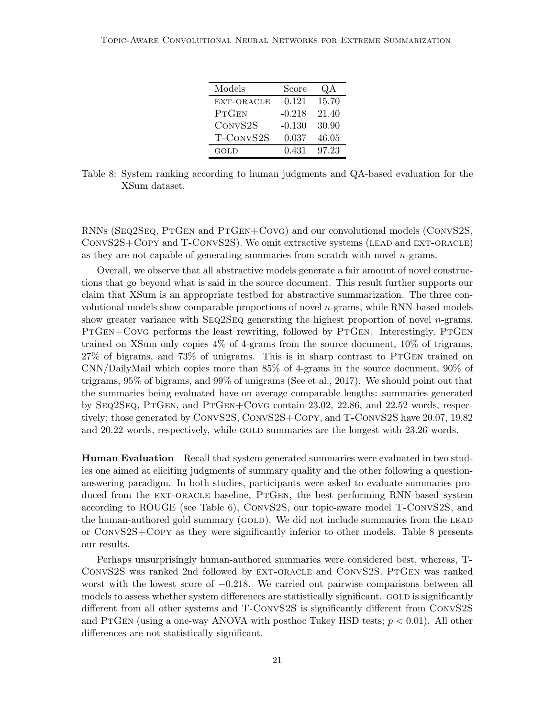| Models       | Score    | QA    |
|--------------|----------|-------|
| EXT-ORACLE   | $-0.121$ | 15.70 |
| <b>PTGEN</b> | $-0.218$ | 21.40 |
| CONVS2S      | $-0.130$ | 30.90 |
| T-CONVS2S    | 0.037    | 46.05 |
| GOLD         | 0.431    | 97.23 |

Table 8: System ranking according to human judgments and QA-based evaluation for the XSum dataset.

RNNs (Seq2Seq, PtGen and PtGen+Covg) and our convolutional models (ConvS2S, ConvS2S+Copy and T-ConvS2S). We omit extractive systems (lead and ext-oracle) as they are not capable of generating summaries from scratch with novel n-grams.

Overall, we observe that all abstractive models generate a fair amount of novel constructions that go beyond what is said in the source document. This result further supports our claim that XSum is an appropriate testbed for abstractive summarization. The three convolutional models show comparable proportions of novel  $n$ -grams, while RNN-based models show greater variance with  $SEQ2SEQ$  generating the highest proportion of novel *n*-grams. PTGEN+COVG performs the least rewriting, followed by PTGEN. Interestingly, PTGEN trained on XSum only copies 4% of 4-grams from the source document, 10% of trigrams, 27% of bigrams, and 73% of unigrams. This is in sharp contrast to PtGen trained on CNN/DailyMail which copies more than 85% of 4-grams in the source document, 90% of trigrams, 95% of bigrams, and 99% of unigrams (See et al., 2017). We should point out that the summaries being evaluated have on average comparable lengths: summaries generated by Seq2Seq, PtGen, and PtGen+Covg contain 23.02, 22.86, and 22.52 words, respectively; those generated by ConvS2S, ConvS2S+Copy, and T-ConvS2S have 20.07, 19.82 and 20.22 words, respectively, while GOLD summaries are the longest with 23.26 words.

Human Evaluation Recall that system generated summaries were evaluated in two studies one aimed at eliciting judgments of summary quality and the other following a questionanswering paradigm. In both studies, participants were asked to evaluate summaries produced from the EXT-ORACLE baseline, PTGEN, the best performing RNN-based system according to ROUGE (see Table 6), ConvS2S, our topic-aware model T-ConvS2S, and the human-authored gold summary (GOLD). We did not include summaries from the LEAD or ConvS2S+Copy as they were significantly inferior to other models. Table 8 presents our results.

Perhaps unsurprisingly human-authored summaries were considered best, whereas, T-ConvS2S was ranked 2nd followed by ext-oracle and ConvS2S. PtGen was ranked worst with the lowest score of  $-0.218$ . We carried out pairwise comparisons between all models to assess whether system differences are statistically significant. GOLD is significantly different from all other systems and T-ConvS2S is significantly different from ConvS2S and PTGEN (using a one-way ANOVA with posthoc Tukey HSD tests;  $p < 0.01$ ). All other differences are not statistically significant.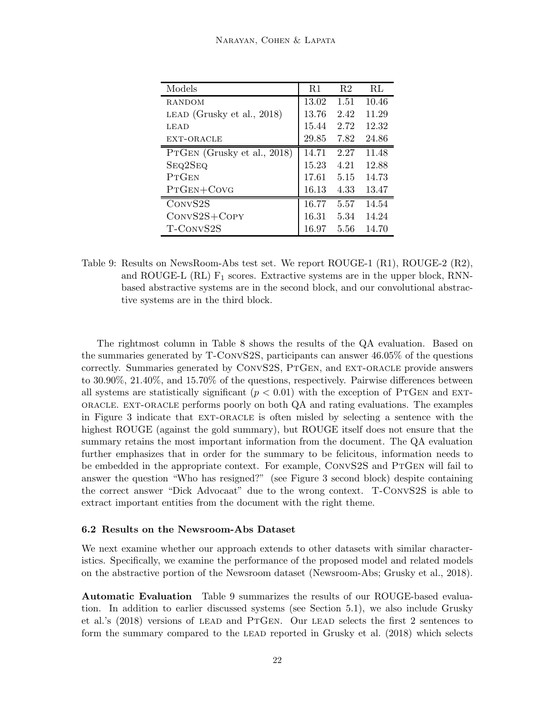| Models                        | <b>R</b> 1 | R <sub>2</sub> | RL    |
|-------------------------------|------------|----------------|-------|
| RANDOM                        | 13.02      | 1.51           | 10.46 |
| LEAD (Grusky et al., $2018$ ) | 13.76      | 2.42           | 11.29 |
| LEAD                          | 15.44      | 2.72           | 12.32 |
| EXT-ORACLE                    | 29.85      | 7.82           | 24.86 |
| PTGEN (Grusky et al., 2018)   | 14.71      | 2.27           | 11.48 |
| SEQ2SEQ                       | 15.23      | 4.21           | 12.88 |
| PTCEN                         | 17.61      | 5.15           | 14.73 |
| $PrGEN+CovG$                  | 16.13      | 4.33           | 13.47 |
| CONVS2S                       | 16.77      | 5.57           | 14.54 |
| $ConvS2S+C$ OPY               | 16.31      | 5.34           | 14.24 |
| T-CONVS2S                     | 16.97      | 5.56           | 14.70 |

Table 9: Results on NewsRoom-Abs test set. We report ROUGE-1 (R1), ROUGE-2 (R2), and ROUGE-L  $(RL)$   $F_1$  scores. Extractive systems are in the upper block, RNNbased abstractive systems are in the second block, and our convolutional abstractive systems are in the third block.

The rightmost column in Table 8 shows the results of the QA evaluation. Based on the summaries generated by T-ConvS2S, participants can answer 46.05% of the questions correctly. Summaries generated by ConvS2S, PtGen, and ext-oracle provide answers to 30.90%, 21.40%, and 15.70% of the questions, respectively. Pairwise differences between all systems are statistically significant ( $p < 0.01$ ) with the exception of PTGEN and EXT- $ORACLE$ . EXT-ORACLE performs poorly on both  $QA$  and rating evaluations. The examples in Figure 3 indicate that EXT-ORACLE is often misled by selecting a sentence with the highest ROUGE (against the gold summary), but ROUGE itself does not ensure that the summary retains the most important information from the document. The QA evaluation further emphasizes that in order for the summary to be felicitous, information needs to be embedded in the appropriate context. For example, CONVS2S and PTGEN will fail to answer the question "Who has resigned?" (see Figure 3 second block) despite containing the correct answer "Dick Advocaat" due to the wrong context. T-ConvS2S is able to extract important entities from the document with the right theme.

#### 6.2 Results on the Newsroom-Abs Dataset

We next examine whether our approach extends to other datasets with similar characteristics. Specifically, we examine the performance of the proposed model and related models on the abstractive portion of the Newsroom dataset (Newsroom-Abs; Grusky et al., 2018).

Automatic Evaluation Table 9 summarizes the results of our ROUGE-based evaluation. In addition to earlier discussed systems (see Section 5.1), we also include Grusky et al.'s (2018) versions of lead and PtGen. Our lead selects the first 2 sentences to form the summary compared to the lead reported in Grusky et al. (2018) which selects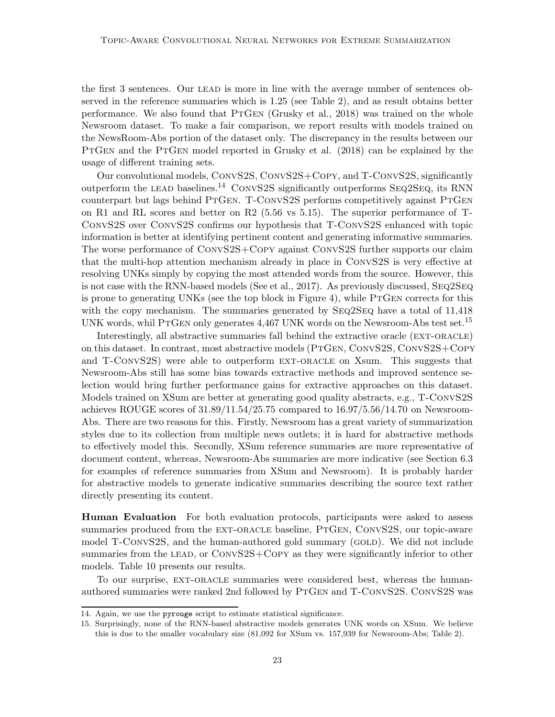the first 3 sentences. Our LEAD is more in line with the average number of sentences observed in the reference summaries which is 1.25 (see Table 2), and as result obtains better performance. We also found that PTGEN (Grusky et al., 2018) was trained on the whole Newsroom dataset. To make a fair comparison, we report results with models trained on the NewsRoom-Abs portion of the dataset only. The discrepancy in the results between our PTGEN and the PTGEN model reported in Grusky et al. (2018) can be explained by the usage of different training sets.

Our convolutional models, ConvS2S, ConvS2S+Copy, and T-ConvS2S, significantly outperform the LEAD baselines.<sup>14</sup> CONVS2S significantly outperforms  $\text{SEQ2SEQ}$ , its RNN counterpart but lags behind PTGEN. T-CONVS2S performs competitively against PTGEN on R1 and RL scores and better on R2 (5.56 vs 5.15). The superior performance of T-ConvS2S over ConvS2S confirms our hypothesis that T-ConvS2S enhanced with topic information is better at identifying pertinent content and generating informative summaries. The worse performance of ConvS2S+Copy against ConvS2S further supports our claim that the multi-hop attention mechanism already in place in ConvS2S is very effective at resolving UNKs simply by copying the most attended words from the source. However, this is not case with the RNN-based models (See et al., 2017). As previously discussed, Seq2Seq is prone to generating UNKs (see the top block in Figure 4), while PTGEN corrects for this with the copy mechanism. The summaries generated by  $\text{Seq2SEQ}$  have a total of 11,418 UNK words, whil PTGEN only generates  $4,467$  UNK words on the Newsroom-Abs test set.<sup>15</sup>

Interestingly, all abstractive summaries fall behind the extractive oracle (ext-oracle) on this dataset. In contrast, most abstractive models (PtGen, ConvS2S, ConvS2S+Copy and T-ConvS2S) were able to outperform ext-oracle on Xsum. This suggests that Newsroom-Abs still has some bias towards extractive methods and improved sentence selection would bring further performance gains for extractive approaches on this dataset. Models trained on XSum are better at generating good quality abstracts, e.g., T-ConvS2S achieves ROUGE scores of  $31.89/11.54/25.75$  compared to  $16.97/5.56/14.70$  on Newsroom-Abs. There are two reasons for this. Firstly, Newsroom has a great variety of summarization styles due to its collection from multiple news outlets; it is hard for abstractive methods to effectively model this. Secondly, XSum reference summaries are more representative of document content, whereas, Newsroom-Abs summaries are more indicative (see Section 6.3 for examples of reference summaries from XSum and Newsroom). It is probably harder for abstractive models to generate indicative summaries describing the source text rather directly presenting its content.

**Human Evaluation** For both evaluation protocols, participants were asked to assess summaries produced from the EXT-ORACLE baseline, PTGEN, CONVS2S, our topic-aware model T-CONVS2S, and the human-authored gold summary (GOLD). We did not include summaries from the LEAD, or CONVS2S+COPY as they were significantly inferior to other models. Table 10 presents our results.

To our surprise, ext-oracle summaries were considered best, whereas the humanauthored summaries were ranked 2nd followed by PTGEN and T-CONVS2S. CONVS2S was

<sup>14.</sup> Again, we use the pyrouge script to estimate statistical significance.

<sup>15.</sup> Surprisingly, none of the RNN-based abstractive models generates UNK words on XSum. We believe this is due to the smaller vocabulary size (81,092 for XSum vs. 157,939 for Newsroom-Abs; Table 2).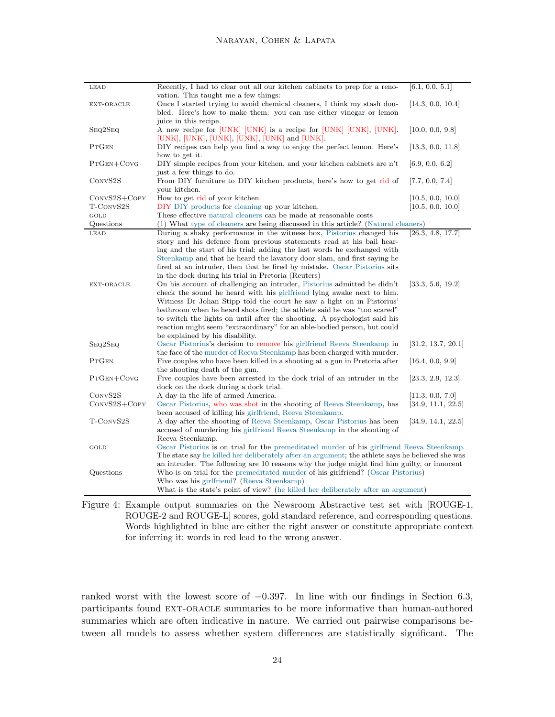| LEAD                | Recently, I had to clear out all our kitchen cabinets to prep for a reno-                        | [6.1, 0.0, 5.1]   |
|---------------------|--------------------------------------------------------------------------------------------------|-------------------|
|                     | vation. This taught me a few things:                                                             |                   |
| EXT-ORACLE          | Once I started trying to avoid chemical cleaners, I think my stash dou-                          | [14.3, 0.0, 10.4] |
|                     | bled. Here's how to make them: you can use either vinegar or lemon                               |                   |
|                     | juice in this recipe.                                                                            |                   |
| SEQ2SEQ             | A new recipe for [UNK] [UNK] is a recipe for [UNK] [UNK], [UNK],                                 | [10.0, 0.0, 9.8]  |
|                     | [UNK], [UNK], [UNK], [UNK], [UNK] and [UNK].                                                     |                   |
| <b>PTGEN</b>        | DIY recipes can help you find a way to enjoy the perfect lemon. Here's                           | [13.3, 0.0, 11.8] |
|                     | how to get it.                                                                                   |                   |
| $PTGEN+CovG$        | DIY simple recipes from your kitchen, and your kitchen cabinets are n't                          | [6.9, 0.0, 6.2]   |
|                     | just a few things to do.                                                                         |                   |
| CONVS <sub>2S</sub> | From DIY furniture to DIY kitchen products, here's how to get rid of                             | [7.7, 0.0, 7.4]   |
|                     | your kitchen.                                                                                    |                   |
| $ConvS2S + Copy$    | How to get rid of your kitchen.                                                                  | [10.5, 0.0, 10.0] |
| T-CONVS2S           | DIY DIY products for cleaning up your kitchen.                                                   | [10.5, 0.0, 10.0] |
| GOLD                | These effective natural cleaners can be made at reasonable costs                                 |                   |
|                     | (1) What type of cleaners are being discussed in this article? (Natural cleaners)                |                   |
| Questions           |                                                                                                  |                   |
| LEAD                | During a shaky performance in the witness box, Pistorius changed his                             | [26.3, 4.8, 17.7] |
|                     | story and his defence from previous statements read at his bail hear-                            |                   |
|                     | ing and the start of his trial; adding the last words he exchanged with                          |                   |
|                     | Steenkamp and that he heard the lavatory door slam, and first saying he                          |                   |
|                     | fired at an intruder, then that he fired by mistake. Oscar Pistorius sits                        |                   |
|                     | in the dock during his trial in Pretoria (Reuters)                                               |                   |
| EXT-ORACLE          | On his account of challenging an intruder, Pistorius admitted he didn't                          | [33.3, 5.6, 19.2] |
|                     | check the sound he heard with his girlfriend lying awake next to him.                            |                   |
|                     | Witness Dr Johan Stipp told the court he saw a light on in Pistorius'                            |                   |
|                     | bathroom when he heard shots fired; the athlete said he was "too scared"                         |                   |
|                     | to switch the lights on until after the shooting. A psychologist said his                        |                   |
|                     | reaction might seem "extraordinary" for an able-bodied person, but could                         |                   |
|                     | be explained by his disability.                                                                  |                   |
| SEQ2SEQ             | Oscar Pistorius's decision to remove his girlfriend Reeva Steenkamp in                           | 31.2, 13.7, 20.1  |
|                     | the face of the murder of Reeva Steenkamp has been charged with murder.                          |                   |
| <b>PTGEN</b>        | Five couples who have been killed in a shooting at a gun in Pretoria after                       | [16.4, 0.0, 9.9]  |
|                     | the shooting death of the gun.                                                                   |                   |
| $PTGEN+CovG$        | Five couples have been arrested in the dock trial of an intruder in the                          | [23.3, 2.9, 12.3] |
|                     | dock on the dock during a dock trial.                                                            |                   |
| CONVS2S             | A day in the life of armed America.                                                              | [11.3, 0.0, 7.0]  |
| $ConvS2S+Copy$      | Oscar Pistorius, who was shot in the shooting of Reeva Steenkamp, has                            | 34.9, 11.1, 22.5  |
|                     |                                                                                                  |                   |
|                     | been accused of killing his girlfriend, Reeva Steenkamp.                                         |                   |
| T-CONVS2S           | A day after the shooting of Reeva Steenkamp, Oscar Pistorius has been                            | 34.9, 14.1, 22.5  |
|                     | accused of murdering his girlfriend Reeva Steenkamp in the shooting of                           |                   |
|                     | Reeva Steenkamp.                                                                                 |                   |
| GOLD                | Oscar Pistorius is on trial for the premeditated murder of his girlfriend Reeva Steenkamp.       |                   |
|                     | The state say he killed her deliberately after an argument; the athlete says he believed she was |                   |
|                     | an intruder. The following are 10 reasons why the judge might find him guilty, or innocent       |                   |
| Questions           | Who is on trial for the premeditated murder of his girlfriend? (Oscar Pistorius)                 |                   |
|                     | Who was his girlfriend? (Reeva Steenkamp)                                                        |                   |
|                     | What is the state's point of view? (he killed her deliberately after an argument)                |                   |

Figure 4: Example output summaries on the Newsroom Abstractive test set with [ROUGE-1, ROUGE-2 and ROUGE-L] scores, gold standard reference, and corresponding questions. Words highlighted in blue are either the right answer or constitute appropriate context for inferring it; words in red lead to the wrong answer.

ranked worst with the lowest score of  $-0.397$ . In line with our findings in Section 6.3, participants found ext-oracle summaries to be more informative than human-authored summaries which are often indicative in nature. We carried out pairwise comparisons between all models to assess whether system differences are statistically significant. The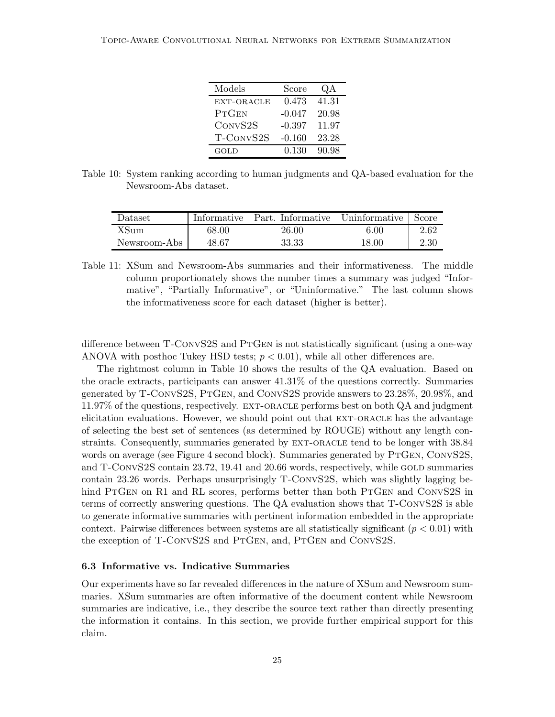| Models       | Score    | QA    |
|--------------|----------|-------|
| EXT-ORACLE   | 0.473    | 41.31 |
| <b>PTGEN</b> | $-0.047$ | 20.98 |
| CONVS2S      | $-0.397$ | 11.97 |
| T-CONVS2S    | $-0.160$ | 23.28 |
| GOLD         | 0.130    | 90.98 |

Table 10: System ranking according to human judgments and QA-based evaluation for the Newsroom-Abs dataset.

| Dataset      |       | Informative Part. Informative Uninformative |          | Score |
|--------------|-------|---------------------------------------------|----------|-------|
| XSum         | 68.00 | 26.00                                       | $6.00\,$ | 2.62  |
| Newsroom-Abs | 48.67 | 33.33                                       | 18.00    | 2.30  |

Table 11: XSum and Newsroom-Abs summaries and their informativeness. The middle column proportionately shows the number times a summary was judged "Informative", "Partially Informative", or "Uninformative." The last column shows the informativeness score for each dataset (higher is better).

difference between T-CONVS2S and PTGEN is not statistically significant (using a one-way ANOVA with posthoc Tukey HSD tests;  $p < 0.01$ ), while all other differences are.

The rightmost column in Table 10 shows the results of the QA evaluation. Based on the oracle extracts, participants can answer 41.31% of the questions correctly. Summaries generated by T-ConvS2S, PtGen, and ConvS2S provide answers to 23.28%, 20.98%, and 11.97% of the questions, respectively. ext-oracle performs best on both QA and judgment elicitation evaluations. However, we should point out that EXT-ORACLE has the advantage of selecting the best set of sentences (as determined by ROUGE) without any length constraints. Consequently, summaries generated by EXT-ORACLE tend to be longer with  $38.84$ words on average (see Figure 4 second block). Summaries generated by PTGEN, CONVS2S, and T-ConvS2S contain 23.72, 19.41 and 20.66 words, respectively, while GOLD summaries contain 23.26 words. Perhaps unsurprisingly T-ConvS2S, which was slightly lagging behind PTGEN on R1 and RL scores, performs better than both PTGEN and CONVS2S in terms of correctly answering questions. The QA evaluation shows that T-ConvS2S is able to generate informative summaries with pertinent information embedded in the appropriate context. Pairwise differences between systems are all statistically significant  $(p < 0.01)$  with the exception of T-CONVS2S and PTGEN, and, PTGEN and CONVS2S.

#### 6.3 Informative vs. Indicative Summaries

Our experiments have so far revealed differences in the nature of XSum and Newsroom summaries. XSum summaries are often informative of the document content while Newsroom summaries are indicative, i.e., they describe the source text rather than directly presenting the information it contains. In this section, we provide further empirical support for this claim.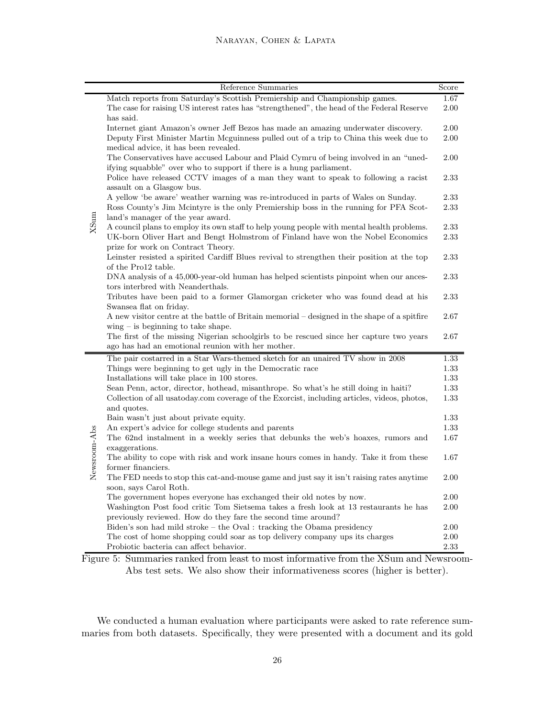|              | Reference Summaries                                                                                                                                                        | Score        |  |
|--------------|----------------------------------------------------------------------------------------------------------------------------------------------------------------------------|--------------|--|
|              | Match reports from Saturday's Scottish Premiership and Championship games.                                                                                                 | 1.67         |  |
|              | The case for raising US interest rates has "strengthened", the head of the Federal Reserve                                                                                 | 2.00         |  |
|              | has said.                                                                                                                                                                  |              |  |
|              | Internet giant Amazon's owner Jeff Bezos has made an amazing underwater discovery.                                                                                         | 2.00         |  |
|              | Deputy First Minister Martin Mcguinness pulled out of a trip to China this week due to                                                                                     | 2.00         |  |
|              | medical advice, it has been revealed.                                                                                                                                      |              |  |
|              | The Conservatives have accused Labour and Plaid Cymru of being involved in an "uned-                                                                                       | 2.00         |  |
|              | ifying squabble" over who to support if there is a hung parliament.                                                                                                        |              |  |
|              | Police have released CCTV images of a man they want to speak to following a racist                                                                                         | 2.33         |  |
|              | assault on a Glasgow bus.                                                                                                                                                  |              |  |
|              | A yellow 'be aware' weather warning was re-introduced in parts of Wales on Sunday.<br>Ross County's Jim Mcintyre is the only Premiership boss in the running for PFA Scot- | 2.33<br>2.33 |  |
|              | land's manager of the year award.                                                                                                                                          |              |  |
| XSum         | A council plans to employ its own staff to help young people with mental health problems.                                                                                  | 2.33         |  |
|              | UK-born Oliver Hart and Bengt Holmstrom of Finland have won the Nobel Economics                                                                                            | 2.33         |  |
|              | prize for work on Contract Theory.                                                                                                                                         |              |  |
|              | Leinster resisted a spirited Cardiff Blues revival to strengthen their position at the top                                                                                 | 2.33         |  |
|              | of the Pro12 table.                                                                                                                                                        |              |  |
|              | DNA analysis of a 45,000-year-old human has helped scientists pinpoint when our ances-                                                                                     | 2.33         |  |
|              | tors interbred with Neanderthals.                                                                                                                                          |              |  |
|              | Tributes have been paid to a former Glamorgan cricketer who was found dead at his                                                                                          | 2.33         |  |
|              | Swansea flat on friday.                                                                                                                                                    |              |  |
|              | A new visitor centre at the battle of Britain memorial – designed in the shape of a spitfire                                                                               | 2.67         |  |
|              | $wing - is beginning to take shape.$                                                                                                                                       |              |  |
|              | The first of the missing Nigerian schoolgirls to be rescued since her capture two years                                                                                    | 2.67         |  |
|              | ago has had an emotional reunion with her mother.                                                                                                                          |              |  |
|              | The pair costarred in a Star Wars-themed sketch for an unaired TV show in 2008                                                                                             | 1.33         |  |
|              | Things were beginning to get ugly in the Democratic race<br>Installations will take place in 100 stores.                                                                   | 1.33<br>1.33 |  |
|              | Sean Penn, actor, director, hothead, misanthrope. So what's he still doing in haiti?                                                                                       | 1.33         |  |
|              | Collection of all usatoday.com coverage of the Exorcist, including articles, videos, photos,                                                                               | 1.33         |  |
|              | and quotes.                                                                                                                                                                |              |  |
|              | Bain wasn't just about private equity.                                                                                                                                     | 1.33         |  |
|              | An expert's advice for college students and parents                                                                                                                        | 1.33         |  |
| Newsroom-Abs | The 62nd instalment in a weekly series that debunks the web's hoaxes, rumors and                                                                                           | 1.67         |  |
|              | exaggerations.                                                                                                                                                             |              |  |
|              | The ability to cope with risk and work insane hours comes in handy. Take it from these                                                                                     | 1.67         |  |
|              | former financiers.                                                                                                                                                         |              |  |
|              | The FED needs to stop this cat-and-mouse game and just say it isn't raising rates anytime                                                                                  | 2.00         |  |
|              | soon, says Carol Roth.                                                                                                                                                     |              |  |
|              | The government hopes everyone has exchanged their old notes by now.                                                                                                        | 2.00         |  |
|              | Washington Post food critic Tom Sietsema takes a fresh look at 13 restaurants he has                                                                                       | 2.00         |  |
|              | previously reviewed. How do they fare the second time around?                                                                                                              |              |  |
|              | Biden's son had mild stroke - the Oval : tracking the Obama presidency                                                                                                     | 2.00         |  |
|              | The cost of home shopping could soar as top delivery company ups its charges                                                                                               | 2.00         |  |
|              | Probiotic bacteria can affect behavior.                                                                                                                                    | 2.33         |  |

Figure 5: Summaries ranked from least to most informative from the XSum and Newsroom-Abs test sets. We also show their informativeness scores (higher is better).

We conducted a human evaluation where participants were asked to rate reference summaries from both datasets. Specifically, they were presented with a document and its gold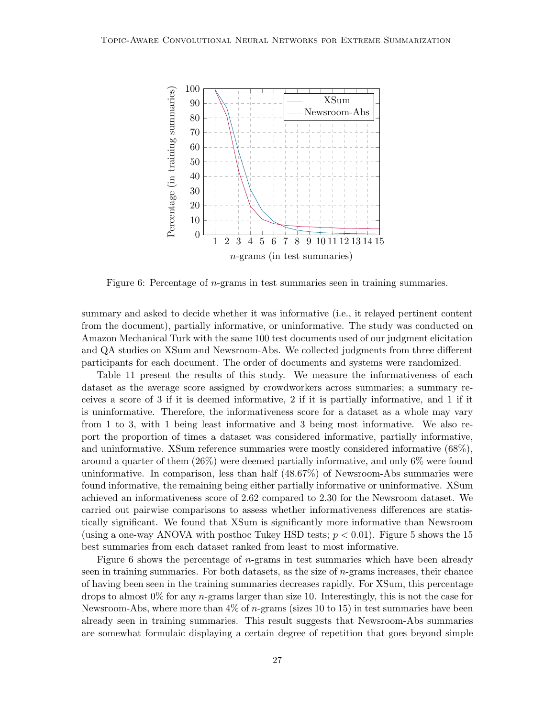

Figure 6: Percentage of n-grams in test summaries seen in training summaries.

summary and asked to decide whether it was informative (i.e., it relayed pertinent content from the document), partially informative, or uninformative. The study was conducted on Amazon Mechanical Turk with the same 100 test documents used of our judgment elicitation and QA studies on XSum and Newsroom-Abs. We collected judgments from three different participants for each document. The order of documents and systems were randomized.

Table 11 present the results of this study. We measure the informativeness of each dataset as the average score assigned by crowdworkers across summaries; a summary receives a score of 3 if it is deemed informative, 2 if it is partially informative, and 1 if it is uninformative. Therefore, the informativeness score for a dataset as a whole may vary from 1 to 3, with 1 being least informative and 3 being most informative. We also report the proportion of times a dataset was considered informative, partially informative, and uninformative. XSum reference summaries were mostly considered informative (68%), around a quarter of them (26%) were deemed partially informative, and only 6% were found uninformative. In comparison, less than half (48.67%) of Newsroom-Abs summaries were found informative, the remaining being either partially informative or uninformative. XSum achieved an informativeness score of 2.62 compared to 2.30 for the Newsroom dataset. We carried out pairwise comparisons to assess whether informativeness differences are statistically significant. We found that XSum is significantly more informative than Newsroom (using a one-way ANOVA with posthoc Tukey HSD tests;  $p < 0.01$ ). Figure 5 shows the 15 best summaries from each dataset ranked from least to most informative.

Figure 6 shows the percentage of  $n$ -grams in test summaries which have been already seen in training summaries. For both datasets, as the size of n-grams increases, their chance of having been seen in the training summaries decreases rapidly. For XSum, this percentage drops to almost  $0\%$  for any *n*-grams larger than size 10. Interestingly, this is not the case for Newsroom-Abs, where more than  $4\%$  of n-grams (sizes 10 to 15) in test summaries have been already seen in training summaries. This result suggests that Newsroom-Abs summaries are somewhat formulaic displaying a certain degree of repetition that goes beyond simple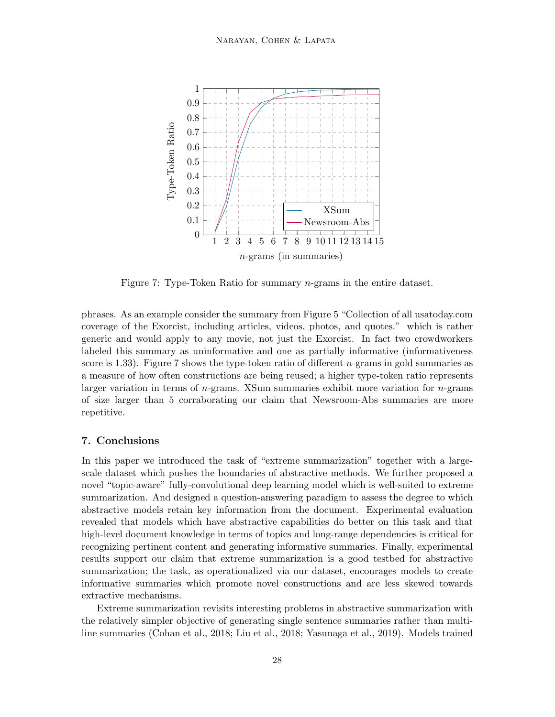

Figure 7: Type-Token Ratio for summary n-grams in the entire dataset.

phrases. As an example consider the summary from Figure 5 "Collection of all usatoday.com coverage of the Exorcist, including articles, videos, photos, and quotes." which is rather generic and would apply to any movie, not just the Exorcist. In fact two crowdworkers labeled this summary as uninformative and one as partially informative (informativeness score is 1.33). Figure 7 shows the type-token ratio of different  $n$ -grams in gold summaries as a measure of how often constructions are being reused; a higher type-token ratio represents larger variation in terms of  $n$ -grams. XSum summaries exhibit more variation for  $n$ -grams of size larger than 5 corraborating our claim that Newsroom-Abs summaries are more repetitive.

# 7. Conclusions

In this paper we introduced the task of "extreme summarization" together with a largescale dataset which pushes the boundaries of abstractive methods. We further proposed a novel "topic-aware" fully-convolutional deep learning model which is well-suited to extreme summarization. And designed a question-answering paradigm to assess the degree to which abstractive models retain key information from the document. Experimental evaluation revealed that models which have abstractive capabilities do better on this task and that high-level document knowledge in terms of topics and long-range dependencies is critical for recognizing pertinent content and generating informative summaries. Finally, experimental results support our claim that extreme summarization is a good testbed for abstractive summarization; the task, as operationalized via our dataset, encourages models to create informative summaries which promote novel constructions and are less skewed towards extractive mechanisms.

Extreme summarization revisits interesting problems in abstractive summarization with the relatively simpler objective of generating single sentence summaries rather than multiline summaries (Cohan et al., 2018; Liu et al., 2018; Yasunaga et al., 2019). Models trained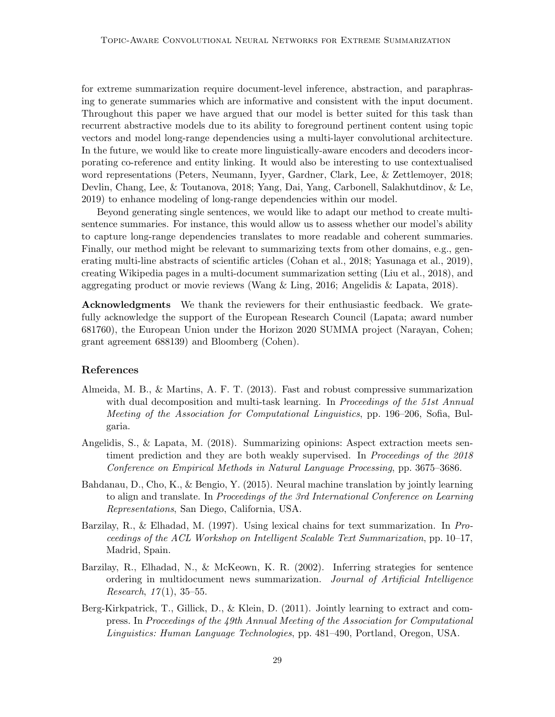for extreme summarization require document-level inference, abstraction, and paraphrasing to generate summaries which are informative and consistent with the input document. Throughout this paper we have argued that our model is better suited for this task than recurrent abstractive models due to its ability to foreground pertinent content using topic vectors and model long-range dependencies using a multi-layer convolutional architecture. In the future, we would like to create more linguistically-aware encoders and decoders incorporating co-reference and entity linking. It would also be interesting to use contextualised word representations (Peters, Neumann, Iyyer, Gardner, Clark, Lee, & Zettlemoyer, 2018; Devlin, Chang, Lee, & Toutanova, 2018; Yang, Dai, Yang, Carbonell, Salakhutdinov, & Le, 2019) to enhance modeling of long-range dependencies within our model.

Beyond generating single sentences, we would like to adapt our method to create multisentence summaries. For instance, this would allow us to assess whether our model's ability to capture long-range dependencies translates to more readable and coherent summaries. Finally, our method might be relevant to summarizing texts from other domains, e.g., generating multi-line abstracts of scientific articles (Cohan et al., 2018; Yasunaga et al., 2019), creating Wikipedia pages in a multi-document summarization setting (Liu et al., 2018), and aggregating product or movie reviews (Wang & Ling, 2016; Angelidis & Lapata, 2018).

Acknowledgments We thank the reviewers for their enthusiastic feedback. We gratefully acknowledge the support of the European Research Council (Lapata; award number 681760), the European Union under the Horizon 2020 SUMMA project (Narayan, Cohen; grant agreement 688139) and Bloomberg (Cohen).

#### References

- Almeida, M. B., & Martins, A. F. T. (2013). Fast and robust compressive summarization with dual decomposition and multi-task learning. In *Proceedings of the 51st Annual Meeting of the Association for Computational Linguistics*, pp. 196–206, Sofia, Bulgaria.
- Angelidis, S., & Lapata, M. (2018). Summarizing opinions: Aspect extraction meets sentiment prediction and they are both weakly supervised. In *Proceedings of the 2018 Conference on Empirical Methods in Natural Language Processing*, pp. 3675–3686.
- Bahdanau, D., Cho, K., & Bengio, Y. (2015). Neural machine translation by jointly learning to align and translate. In *Proceedings of the 3rd International Conference on Learning Representations*, San Diego, California, USA.
- Barzilay, R., & Elhadad, M. (1997). Using lexical chains for text summarization. In *Proceedings of the ACL Workshop on Intelligent Scalable Text Summarization*, pp. 10–17, Madrid, Spain.
- Barzilay, R., Elhadad, N., & McKeown, K. R. (2002). Inferring strategies for sentence ordering in multidocument news summarization. *Journal of Artificial Intelligence Research*, *17*(1), 35–55.
- Berg-Kirkpatrick, T., Gillick, D., & Klein, D. (2011). Jointly learning to extract and compress. In *Proceedings of the 49th Annual Meeting of the Association for Computational Linguistics: Human Language Technologies*, pp. 481–490, Portland, Oregon, USA.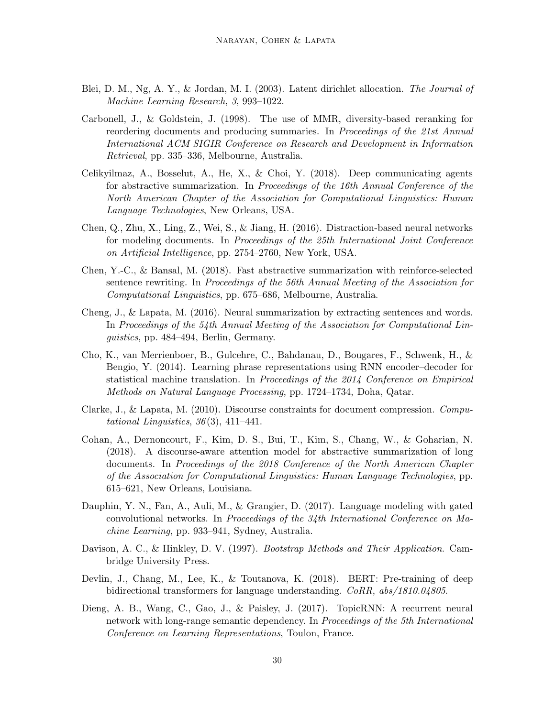- Blei, D. M., Ng, A. Y., & Jordan, M. I. (2003). Latent dirichlet allocation. *The Journal of Machine Learning Research*, *3*, 993–1022.
- Carbonell, J., & Goldstein, J. (1998). The use of MMR, diversity-based reranking for reordering documents and producing summaries. In *Proceedings of the 21st Annual International ACM SIGIR Conference on Research and Development in Information Retrieval*, pp. 335–336, Melbourne, Australia.
- Celikyilmaz, A., Bosselut, A., He, X., & Choi, Y. (2018). Deep communicating agents for abstractive summarization. In *Proceedings of the 16th Annual Conference of the North American Chapter of the Association for Computational Linguistics: Human Language Technologies*, New Orleans, USA.
- Chen, Q., Zhu, X., Ling, Z., Wei, S., & Jiang, H. (2016). Distraction-based neural networks for modeling documents. In *Proceedings of the 25th International Joint Conference on Artificial Intelligence*, pp. 2754–2760, New York, USA.
- Chen, Y.-C., & Bansal, M. (2018). Fast abstractive summarization with reinforce-selected sentence rewriting. In *Proceedings of the 56th Annual Meeting of the Association for Computational Linguistics*, pp. 675–686, Melbourne, Australia.
- Cheng, J., & Lapata, M. (2016). Neural summarization by extracting sentences and words. In *Proceedings of the 54th Annual Meeting of the Association for Computational Linguistics*, pp. 484–494, Berlin, Germany.
- Cho, K., van Merrienboer, B., Gulcehre, C., Bahdanau, D., Bougares, F., Schwenk, H., & Bengio, Y. (2014). Learning phrase representations using RNN encoder–decoder for statistical machine translation. In *Proceedings of the 2014 Conference on Empirical Methods on Natural Language Processing*, pp. 1724–1734, Doha, Qatar.
- Clarke, J., & Lapata, M. (2010). Discourse constraints for document compression. *Computational Linguistics*, *36*(3), 411–441.
- Cohan, A., Dernoncourt, F., Kim, D. S., Bui, T., Kim, S., Chang, W., & Goharian, N. (2018). A discourse-aware attention model for abstractive summarization of long documents. In *Proceedings of the 2018 Conference of the North American Chapter of the Association for Computational Linguistics: Human Language Technologies*, pp. 615–621, New Orleans, Louisiana.
- Dauphin, Y. N., Fan, A., Auli, M., & Grangier, D. (2017). Language modeling with gated convolutional networks. In *Proceedings of the 34th International Conference on Machine Learning*, pp. 933–941, Sydney, Australia.
- Davison, A. C., & Hinkley, D. V. (1997). *Bootstrap Methods and Their Application*. Cambridge University Press.
- Devlin, J., Chang, M., Lee, K., & Toutanova, K. (2018). BERT: Pre-training of deep bidirectional transformers for language understanding. *CoRR*, *abs/1810.04805*.
- Dieng, A. B., Wang, C., Gao, J., & Paisley, J. (2017). TopicRNN: A recurrent neural network with long-range semantic dependency. In *Proceedings of the 5th International Conference on Learning Representations*, Toulon, France.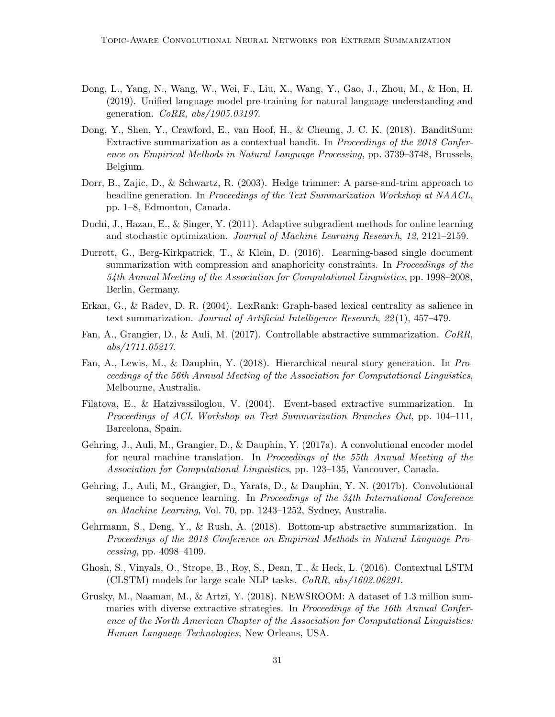- Dong, L., Yang, N., Wang, W., Wei, F., Liu, X., Wang, Y., Gao, J., Zhou, M., & Hon, H. (2019). Unified language model pre-training for natural language understanding and generation. *CoRR*, *abs/1905.03197*.
- Dong, Y., Shen, Y., Crawford, E., van Hoof, H., & Cheung, J. C. K. (2018). BanditSum: Extractive summarization as a contextual bandit. In *Proceedings of the 2018 Conference on Empirical Methods in Natural Language Processing*, pp. 3739–3748, Brussels, Belgium.
- Dorr, B., Zajic, D., & Schwartz, R. (2003). Hedge trimmer: A parse-and-trim approach to headline generation. In *Proceedings of the Text Summarization Workshop at NAACL*, pp. 1–8, Edmonton, Canada.
- Duchi, J., Hazan, E., & Singer, Y. (2011). Adaptive subgradient methods for online learning and stochastic optimization. *Journal of Machine Learning Research*, *12*, 2121–2159.
- Durrett, G., Berg-Kirkpatrick, T., & Klein, D. (2016). Learning-based single document summarization with compression and anaphoricity constraints. In *Proceedings of the 54th Annual Meeting of the Association for Computational Linguistics*, pp. 1998–2008, Berlin, Germany.
- Erkan, G., & Radev, D. R. (2004). LexRank: Graph-based lexical centrality as salience in text summarization. *Journal of Artificial Intelligence Research*, *22*(1), 457–479.
- Fan, A., Grangier, D., & Auli, M. (2017). Controllable abstractive summarization. *CoRR*, *abs/1711.05217*.
- Fan, A., Lewis, M., & Dauphin, Y. (2018). Hierarchical neural story generation. In *Proceedings of the 56th Annual Meeting of the Association for Computational Linguistics*, Melbourne, Australia.
- Filatova, E., & Hatzivassiloglou, V. (2004). Event-based extractive summarization. In *Proceedings of ACL Workshop on Text Summarization Branches Out*, pp. 104–111, Barcelona, Spain.
- Gehring, J., Auli, M., Grangier, D., & Dauphin, Y. (2017a). A convolutional encoder model for neural machine translation. In *Proceedings of the 55th Annual Meeting of the Association for Computational Linguistics*, pp. 123–135, Vancouver, Canada.
- Gehring, J., Auli, M., Grangier, D., Yarats, D., & Dauphin, Y. N. (2017b). Convolutional sequence to sequence learning. In *Proceedings of the 34th International Conference on Machine Learning*, Vol. 70, pp. 1243–1252, Sydney, Australia.
- Gehrmann, S., Deng, Y., & Rush, A. (2018). Bottom-up abstractive summarization. In *Proceedings of the 2018 Conference on Empirical Methods in Natural Language Processing*, pp. 4098–4109.
- Ghosh, S., Vinyals, O., Strope, B., Roy, S., Dean, T., & Heck, L. (2016). Contextual LSTM (CLSTM) models for large scale NLP tasks. *CoRR*, *abs/1602.06291*.
- Grusky, M., Naaman, M., & Artzi, Y. (2018). NEWSROOM: A dataset of 1.3 million summaries with diverse extractive strategies. In *Proceedings of the 16th Annual Conference of the North American Chapter of the Association for Computational Linguistics: Human Language Technologies*, New Orleans, USA.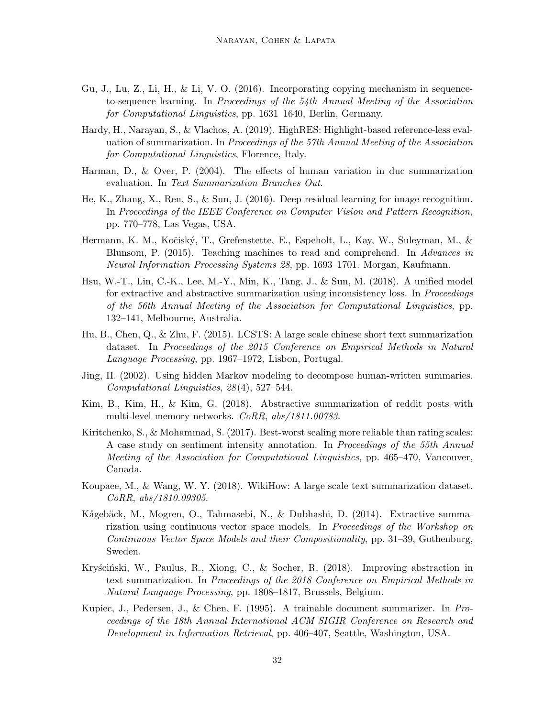- Gu, J., Lu, Z., Li, H., & Li, V. O. (2016). Incorporating copying mechanism in sequenceto-sequence learning. In *Proceedings of the 54th Annual Meeting of the Association for Computational Linguistics*, pp. 1631–1640, Berlin, Germany.
- Hardy, H., Narayan, S., & Vlachos, A. (2019). HighRES: Highlight-based reference-less evaluation of summarization. In *Proceedings of the 57th Annual Meeting of the Association for Computational Linguistics*, Florence, Italy.
- Harman, D., & Over, P. (2004). The effects of human variation in duc summarization evaluation. In *Text Summarization Branches Out*.
- He, K., Zhang, X., Ren, S., & Sun, J. (2016). Deep residual learning for image recognition. In *Proceedings of the IEEE Conference on Computer Vision and Pattern Recognition*, pp. 770–778, Las Vegas, USA.
- Hermann, K. M., Kočiský, T., Grefenstette, E., Espeholt, L., Kay, W., Suleyman, M., & Blunsom, P. (2015). Teaching machines to read and comprehend. In *Advances in Neural Information Processing Systems 28*, pp. 1693–1701. Morgan, Kaufmann.
- Hsu, W.-T., Lin, C.-K., Lee, M.-Y., Min, K., Tang, J., & Sun, M. (2018). A unified model for extractive and abstractive summarization using inconsistency loss. In *Proceedings of the 56th Annual Meeting of the Association for Computational Linguistics*, pp. 132–141, Melbourne, Australia.
- Hu, B., Chen, Q., & Zhu, F. (2015). LCSTS: A large scale chinese short text summarization dataset. In *Proceedings of the 2015 Conference on Empirical Methods in Natural Language Processing*, pp. 1967–1972, Lisbon, Portugal.
- Jing, H. (2002). Using hidden Markov modeling to decompose human-written summaries. *Computational Linguistics*, *28*(4), 527–544.
- Kim, B., Kim, H., & Kim, G. (2018). Abstractive summarization of reddit posts with multi-level memory networks. *CoRR*, *abs/1811.00783*.
- Kiritchenko, S., & Mohammad, S. (2017). Best-worst scaling more reliable than rating scales: A case study on sentiment intensity annotation. In *Proceedings of the 55th Annual Meeting of the Association for Computational Linguistics*, pp. 465–470, Vancouver, Canada.
- Koupaee, M., & Wang, W. Y. (2018). WikiHow: A large scale text summarization dataset. *CoRR*, *abs/1810.09305*.
- Kågebäck, M., Mogren, O., Tahmasebi, N., & Dubhashi, D. (2014). Extractive summarization using continuous vector space models. In *Proceedings of the Workshop on Continuous Vector Space Models and their Compositionality*, pp. 31–39, Gothenburg, Sweden.
- Kryściński, W., Paulus, R., Xiong, C., & Socher, R. (2018). Improving abstraction in text summarization. In *Proceedings of the 2018 Conference on Empirical Methods in Natural Language Processing*, pp. 1808–1817, Brussels, Belgium.
- Kupiec, J., Pedersen, J., & Chen, F. (1995). A trainable document summarizer. In *Proceedings of the 18th Annual International ACM SIGIR Conference on Research and Development in Information Retrieval*, pp. 406–407, Seattle, Washington, USA.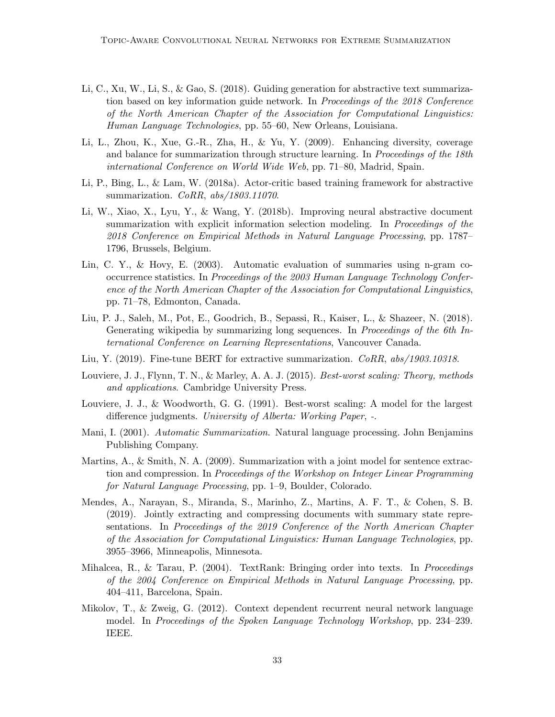- Li, C., Xu, W., Li, S., & Gao, S. (2018). Guiding generation for abstractive text summarization based on key information guide network. In *Proceedings of the 2018 Conference of the North American Chapter of the Association for Computational Linguistics: Human Language Technologies*, pp. 55–60, New Orleans, Louisiana.
- Li, L., Zhou, K., Xue, G.-R., Zha, H., & Yu, Y. (2009). Enhancing diversity, coverage and balance for summarization through structure learning. In *Proceedings of the 18th international Conference on World Wide Web*, pp. 71–80, Madrid, Spain.
- Li, P., Bing, L., & Lam, W. (2018a). Actor-critic based training framework for abstractive summarization. *CoRR*, *abs/1803.11070*.
- Li, W., Xiao, X., Lyu, Y., & Wang, Y. (2018b). Improving neural abstractive document summarization with explicit information selection modeling. In *Proceedings of the 2018 Conference on Empirical Methods in Natural Language Processing*, pp. 1787– 1796, Brussels, Belgium.
- Lin, C. Y., & Hovy, E. (2003). Automatic evaluation of summaries using n-gram cooccurrence statistics. In *Proceedings of the 2003 Human Language Technology Conference of the North American Chapter of the Association for Computational Linguistics*, pp. 71–78, Edmonton, Canada.
- Liu, P. J., Saleh, M., Pot, E., Goodrich, B., Sepassi, R., Kaiser, L., & Shazeer, N. (2018). Generating wikipedia by summarizing long sequences. In *Proceedings of the 6th International Conference on Learning Representations*, Vancouver Canada.
- Liu, Y. (2019). Fine-tune BERT for extractive summarization. *CoRR*, *abs/1903.10318*.
- Louviere, J. J., Flynn, T. N., & Marley, A. A. J. (2015). *Best-worst scaling: Theory, methods and applications*. Cambridge University Press.
- Louviere, J. J., & Woodworth, G. G. (1991). Best-worst scaling: A model for the largest difference judgments. *University of Alberta: Working Paper*, *-*.
- Mani, I. (2001). *Automatic Summarization*. Natural language processing. John Benjamins Publishing Company.
- Martins, A., & Smith, N. A. (2009). Summarization with a joint model for sentence extraction and compression. In *Proceedings of the Workshop on Integer Linear Programming for Natural Language Processing*, pp. 1–9, Boulder, Colorado.
- Mendes, A., Narayan, S., Miranda, S., Marinho, Z., Martins, A. F. T., & Cohen, S. B. (2019). Jointly extracting and compressing documents with summary state representations. In *Proceedings of the 2019 Conference of the North American Chapter of the Association for Computational Linguistics: Human Language Technologies*, pp. 3955–3966, Minneapolis, Minnesota.
- Mihalcea, R., & Tarau, P. (2004). TextRank: Bringing order into texts. In *Proceedings of the 2004 Conference on Empirical Methods in Natural Language Processing*, pp. 404–411, Barcelona, Spain.
- Mikolov, T., & Zweig, G. (2012). Context dependent recurrent neural network language model. In *Proceedings of the Spoken Language Technology Workshop*, pp. 234–239. IEEE.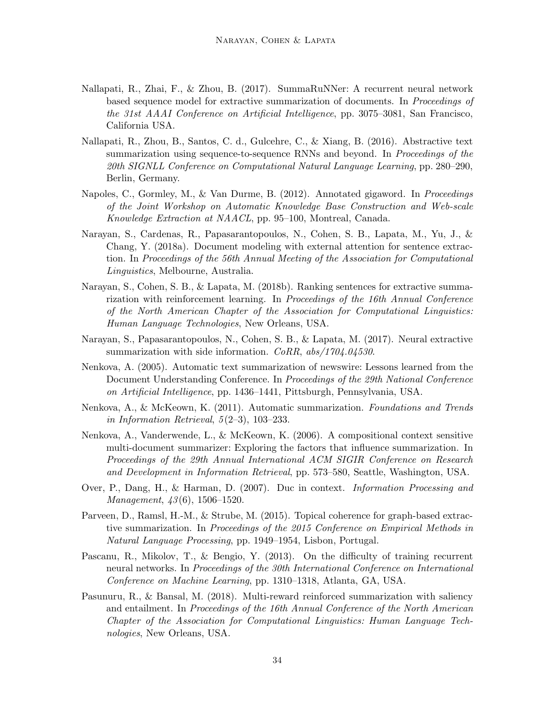- Nallapati, R., Zhai, F., & Zhou, B. (2017). SummaRuNNer: A recurrent neural network based sequence model for extractive summarization of documents. In *Proceedings of the 31st AAAI Conference on Artificial Intelligence*, pp. 3075–3081, San Francisco, California USA.
- Nallapati, R., Zhou, B., Santos, C. d., Gulcehre, C., & Xiang, B. (2016). Abstractive text summarization using sequence-to-sequence RNNs and beyond. In *Proceedings of the 20th SIGNLL Conference on Computational Natural Language Learning*, pp. 280–290, Berlin, Germany.
- Napoles, C., Gormley, M., & Van Durme, B. (2012). Annotated gigaword. In *Proceedings of the Joint Workshop on Automatic Knowledge Base Construction and Web-scale Knowledge Extraction at NAACL*, pp. 95–100, Montreal, Canada.
- Narayan, S., Cardenas, R., Papasarantopoulos, N., Cohen, S. B., Lapata, M., Yu, J., & Chang, Y. (2018a). Document modeling with external attention for sentence extraction. In *Proceedings of the 56th Annual Meeting of the Association for Computational Linguistics*, Melbourne, Australia.
- Narayan, S., Cohen, S. B., & Lapata, M. (2018b). Ranking sentences for extractive summarization with reinforcement learning. In *Proceedings of the 16th Annual Conference of the North American Chapter of the Association for Computational Linguistics: Human Language Technologies*, New Orleans, USA.
- Narayan, S., Papasarantopoulos, N., Cohen, S. B., & Lapata, M. (2017). Neural extractive summarization with side information. *CoRR*, *abs/1704.04530*.
- Nenkova, A. (2005). Automatic text summarization of newswire: Lessons learned from the Document Understanding Conference. In *Proceedings of the 29th National Conference on Artificial Intelligence*, pp. 1436–1441, Pittsburgh, Pennsylvania, USA.
- Nenkova, A., & McKeown, K. (2011). Automatic summarization. *Foundations and Trends in Information Retrieval*, *5*(2–3), 103–233.
- Nenkova, A., Vanderwende, L., & McKeown, K. (2006). A compositional context sensitive multi-document summarizer: Exploring the factors that influence summarization. In *Proceedings of the 29th Annual International ACM SIGIR Conference on Research and Development in Information Retrieval*, pp. 573–580, Seattle, Washington, USA.
- Over, P., Dang, H., & Harman, D. (2007). Duc in context. *Information Processing and Management*, *43*(6), 1506–1520.
- Parveen, D., Ramsl, H.-M., & Strube, M. (2015). Topical coherence for graph-based extractive summarization. In *Proceedings of the 2015 Conference on Empirical Methods in Natural Language Processing*, pp. 1949–1954, Lisbon, Portugal.
- Pascanu, R., Mikolov, T., & Bengio, Y. (2013). On the difficulty of training recurrent neural networks. In *Proceedings of the 30th International Conference on International Conference on Machine Learning*, pp. 1310–1318, Atlanta, GA, USA.
- Pasunuru, R., & Bansal, M. (2018). Multi-reward reinforced summarization with saliency and entailment. In *Proceedings of the 16th Annual Conference of the North American Chapter of the Association for Computational Linguistics: Human Language Technologies*, New Orleans, USA.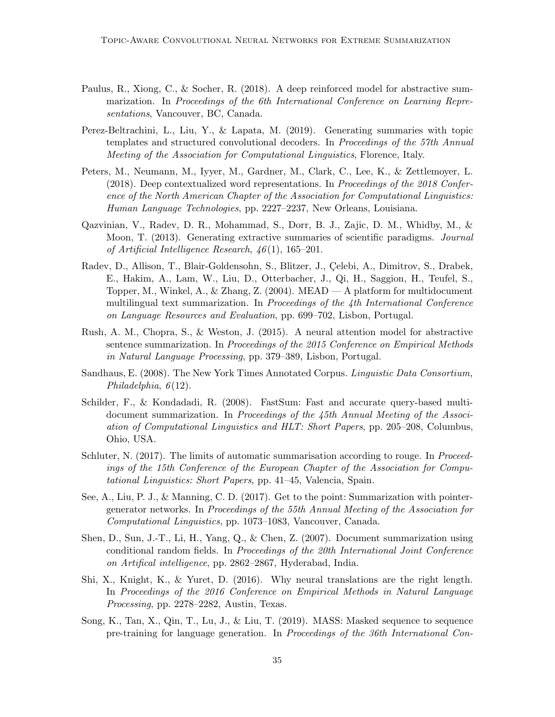- Paulus, R., Xiong, C., & Socher, R. (2018). A deep reinforced model for abstractive summarization. In *Proceedings of the 6th International Conference on Learning Representations*, Vancouver, BC, Canada.
- Perez-Beltrachini, L., Liu, Y., & Lapata, M. (2019). Generating summaries with topic templates and structured convolutional decoders. In *Proceedings of the 57th Annual Meeting of the Association for Computational Linguistics*, Florence, Italy.
- Peters, M., Neumann, M., Iyyer, M., Gardner, M., Clark, C., Lee, K., & Zettlemoyer, L. (2018). Deep contextualized word representations. In *Proceedings of the 2018 Conference of the North American Chapter of the Association for Computational Linguistics: Human Language Technologies*, pp. 2227–2237, New Orleans, Louisiana.
- Qazvinian, V., Radev, D. R., Mohammad, S., Dorr, B. J., Zajic, D. M., Whidby, M., & Moon, T. (2013). Generating extractive summaries of scientific paradigms. *Journal of Artificial Intelligence Research*, *46*(1), 165–201.
- Radev, D., Allison, T., Blair-Goldensohn, S., Blitzer, J., Celebi, A., Dimitrov, S., Drabek, E., Hakim, A., Lam, W., Liu, D., Otterbacher, J., Qi, H., Saggion, H., Teufel, S., Topper, M., Winkel, A., & Zhang, Z. (2004). MEAD — A platform for multidocument multilingual text summarization. In *Proceedings of the 4th International Conference on Language Resources and Evaluation*, pp. 699–702, Lisbon, Portugal.
- Rush, A. M., Chopra, S., & Weston, J. (2015). A neural attention model for abstractive sentence summarization. In *Proceedings of the 2015 Conference on Empirical Methods in Natural Language Processing*, pp. 379–389, Lisbon, Portugal.
- Sandhaus, E. (2008). The New York Times Annotated Corpus. *Linguistic Data Consortium, Philadelphia*, *6*(12).
- Schilder, F., & Kondadadi, R. (2008). FastSum: Fast and accurate query-based multidocument summarization. In *Proceedings of the 45th Annual Meeting of the Association of Computational Linguistics and HLT: Short Papers*, pp. 205–208, Columbus, Ohio, USA.
- Schluter, N. (2017). The limits of automatic summarisation according to rouge. In *Proceedings of the 15th Conference of the European Chapter of the Association for Computational Linguistics: Short Papers*, pp. 41–45, Valencia, Spain.
- See, A., Liu, P. J., & Manning, C. D. (2017). Get to the point: Summarization with pointergenerator networks. In *Proceedings of the 55th Annual Meeting of the Association for Computational Linguistics*, pp. 1073–1083, Vancouver, Canada.
- Shen, D., Sun, J.-T., Li, H., Yang, Q., & Chen, Z. (2007). Document summarization using conditional random fields. In *Proceedings of the 20th International Joint Conference on Artifical intelligence*, pp. 2862–2867, Hyderabad, India.
- Shi, X., Knight, K., & Yuret, D. (2016). Why neural translations are the right length. In *Proceedings of the 2016 Conference on Empirical Methods in Natural Language Processing*, pp. 2278–2282, Austin, Texas.
- Song, K., Tan, X., Qin, T., Lu, J., & Liu, T. (2019). MASS: Masked sequence to sequence pre-training for language generation. In *Proceedings of the 36th International Con-*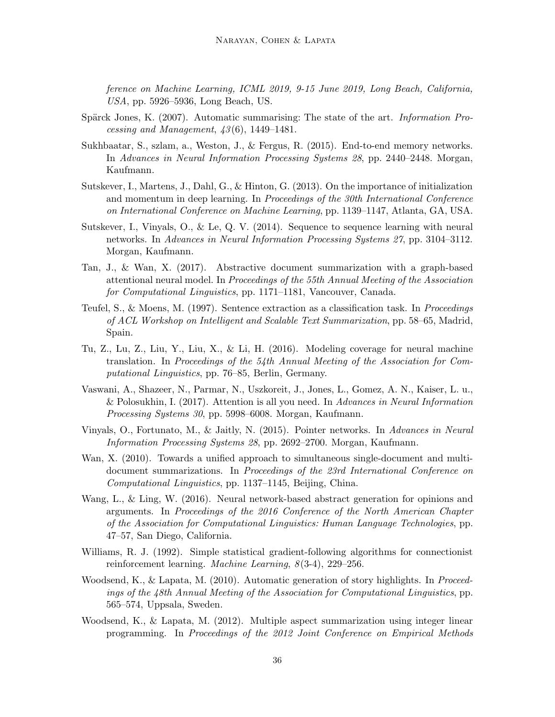*ference on Machine Learning, ICML 2019, 9-15 June 2019, Long Beach, California, USA*, pp. 5926–5936, Long Beach, US.

- Spärck Jones, K. (2007). Automatic summarising: The state of the art. *Information Processing and Management*, *43*(6), 1449–1481.
- Sukhbaatar, S., szlam, a., Weston, J., & Fergus, R. (2015). End-to-end memory networks. In *Advances in Neural Information Processing Systems 28*, pp. 2440–2448. Morgan, Kaufmann.
- Sutskever, I., Martens, J., Dahl, G., & Hinton, G. (2013). On the importance of initialization and momentum in deep learning. In *Proceedings of the 30th International Conference on International Conference on Machine Learning*, pp. 1139–1147, Atlanta, GA, USA.
- Sutskever, I., Vinyals, O., & Le, Q. V. (2014). Sequence to sequence learning with neural networks. In *Advances in Neural Information Processing Systems 27*, pp. 3104–3112. Morgan, Kaufmann.
- Tan, J., & Wan, X. (2017). Abstractive document summarization with a graph-based attentional neural model. In *Proceedings of the 55th Annual Meeting of the Association for Computational Linguistics*, pp. 1171–1181, Vancouver, Canada.
- Teufel, S., & Moens, M. (1997). Sentence extraction as a classification task. In *Proceedings of ACL Workshop on Intelligent and Scalable Text Summarization*, pp. 58–65, Madrid, Spain.
- Tu, Z., Lu, Z., Liu, Y., Liu, X., & Li, H. (2016). Modeling coverage for neural machine translation. In *Proceedings of the 54th Annual Meeting of the Association for Computational Linguistics*, pp. 76–85, Berlin, Germany.
- Vaswani, A., Shazeer, N., Parmar, N., Uszkoreit, J., Jones, L., Gomez, A. N., Kaiser, L. u., & Polosukhin, I. (2017). Attention is all you need. In *Advances in Neural Information Processing Systems 30*, pp. 5998–6008. Morgan, Kaufmann.
- Vinyals, O., Fortunato, M., & Jaitly, N. (2015). Pointer networks. In *Advances in Neural Information Processing Systems 28*, pp. 2692–2700. Morgan, Kaufmann.
- Wan, X. (2010). Towards a unified approach to simultaneous single-document and multidocument summarizations. In *Proceedings of the 23rd International Conference on Computational Linguistics*, pp. 1137–1145, Beijing, China.
- Wang, L., & Ling, W. (2016). Neural network-based abstract generation for opinions and arguments. In *Proceedings of the 2016 Conference of the North American Chapter of the Association for Computational Linguistics: Human Language Technologies*, pp. 47–57, San Diego, California.
- Williams, R. J. (1992). Simple statistical gradient-following algorithms for connectionist reinforcement learning. *Machine Learning*, *8*(3-4), 229–256.
- Woodsend, K., & Lapata, M. (2010). Automatic generation of story highlights. In *Proceedings of the 48th Annual Meeting of the Association for Computational Linguistics*, pp. 565–574, Uppsala, Sweden.
- Woodsend, K., & Lapata, M. (2012). Multiple aspect summarization using integer linear programming. In *Proceedings of the 2012 Joint Conference on Empirical Methods*